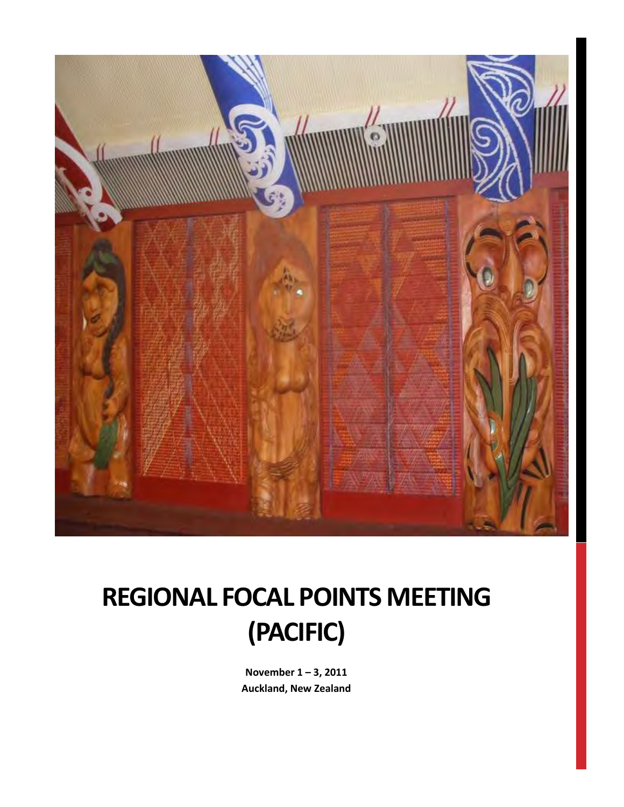

# **REGIONAL FOCAL POINTS MEETING (PACIFIC)**

**November 1 – 3, 2011 Auckland, New Zealand**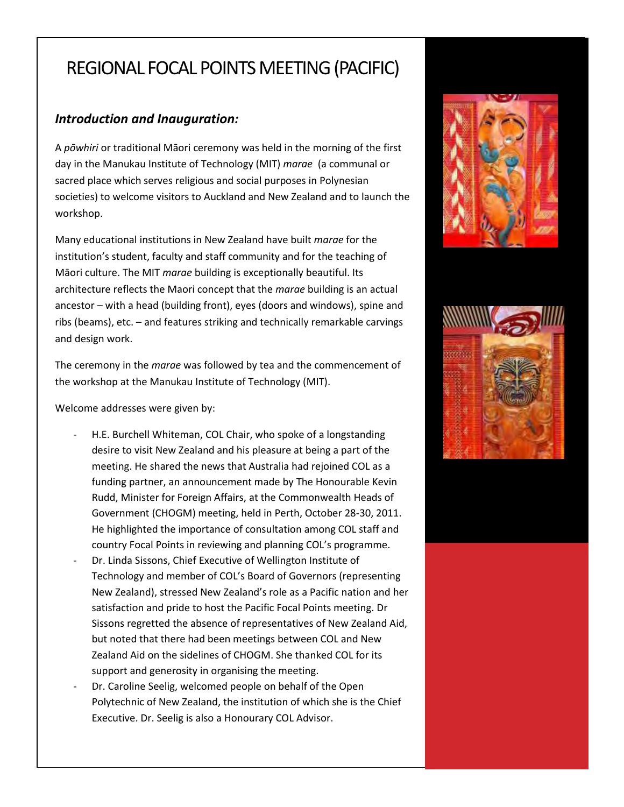# REGIONAL FOCAL POINTS MEETING (PACIFIC)

# *Introduction and Inauguration:*

A *pōwhiri* or traditional Māori ceremony was held in the morning of the first day in the Manukau Institute of Technology (MIT) *marae* (a communal or sacred place which serves religious and social purposes in Polynesian societies) to welcome visitors to Auckland and New Zealand and to launch the workshop.

Many educational institutions in New Zealand have built *marae* for the institution's student, faculty and staff community and for the teaching of Māori culture. The MIT *marae* building is exceptionally beautiful. Its architecture reflects the Maori concept that the *marae* building is an actual ancestor – with a head (building front), eyes (doors and windows), spine and ribs (beams), etc. – and features striking and technically remarkable carvings and design work.

The ceremony in the *marae* was followed by tea and the commencement of the workshop at the Manukau Institute of Technology (MIT).

Welcome addresses were given by:

- H.E. Burchell Whiteman, COL Chair, who spoke of a longstanding desire to visit New Zealand and his pleasure at being a part of the meeting. He shared the news that Australia had rejoined COL as a funding partner, an announcement made by The Honourable Kevin Rudd, Minister for Foreign Affairs, at the Commonwealth Heads of Government (CHOGM) meeting, held in Perth, October 28-30, 2011. He highlighted the importance of consultation among COL staff and country Focal Points in reviewing and planning COL's programme.
- Dr. Linda Sissons, Chief Executive of Wellington Institute of Technology and member of COL's Board of Governors (representing New Zealand), stressed New Zealand's role as a Pacific nation and her satisfaction and pride to host the Pacific Focal Points meeting. Dr Sissons regretted the absence of representatives of New Zealand Aid, but noted that there had been meetings between COL and New Zealand Aid on the sidelines of CHOGM. She thanked COL for its support and generosity in organising the meeting.
- Dr. Caroline Seelig, welcomed people on behalf of the Open Polytechnic of New Zealand, the institution of which she is the Chief Executive. Dr. Seelig is also a Honourary COL Advisor.



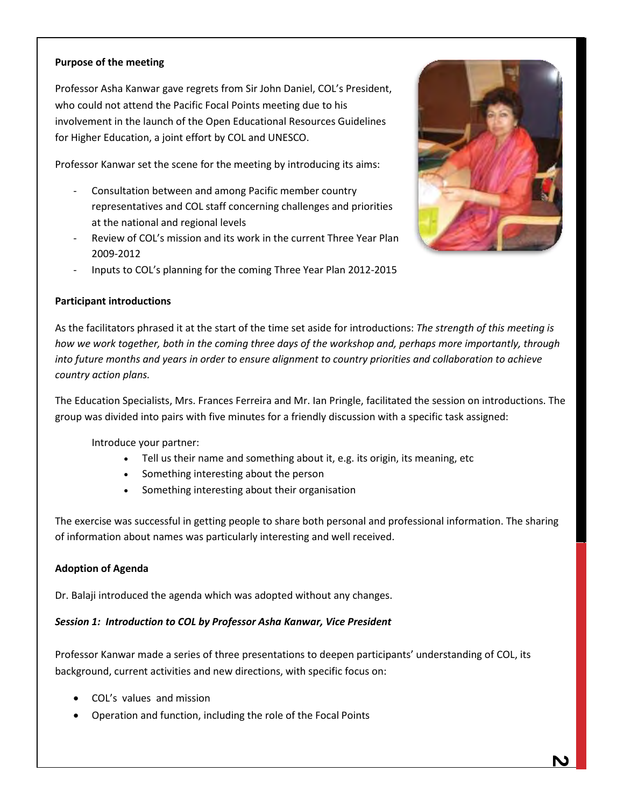# **Purpose of the meeting**

Professor Asha Kanwar gave regrets from Sir John Daniel, COL's President, who could not attend the Pacific Focal Points meeting due to his involvement in the launch of the Open Educational Resources Guidelines for Higher Education, a joint effort by COL and UNESCO.

Professor Kanwar set the scene for the meeting by introducing its aims:

- Consultation between and among Pacific member country representatives and COL staff concerning challenges and priorities at the national and regional levels
- Review of COL's mission and its work in the current Three Year Plan 2009-2012
- Inputs to COL's planning for the coming Three Year Plan 2012-2015



#### **Participant introductions**

As the facilitators phrased it at the start of the time set aside for introductions: *The strength of this meeting is how we work together, both in the coming three days of the workshop and, perhaps more importantly, through into future months and years in order to ensure alignment to country priorities and collaboration to achieve country action plans.*

The Education Specialists, Mrs. Frances Ferreira and Mr. Ian Pringle, facilitated the session on introductions. The group was divided into pairs with five minutes for a friendly discussion with a specific task assigned:

Introduce your partner:

- Tell us their name and something about it, e.g. its origin, its meaning, etc
- Something interesting about the person
- Something interesting about their organisation

The exercise was successful in getting people to share both personal and professional information. The sharing of information about names was particularly interesting and well received.

#### **Adoption of Agenda**

Dr. Balaji introduced the agenda which was adopted without any changes.

#### *Session 1: Introduction to COL by Professor Asha Kanwar, Vice President*

Professor Kanwar made a series of three presentations to deepen participants' understanding of COL, its background, current activities and new directions, with specific focus on:

- COL's values and mission
- Operation and function, including the role of the Focal Points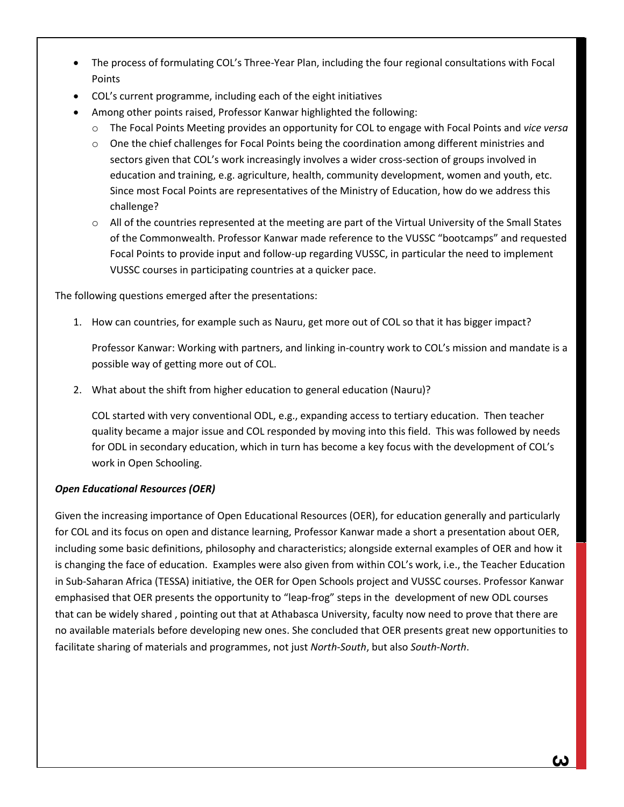- The process of formulating COL's Three-Year Plan, including the four regional consultations with Focal Points
- COL's current programme, including each of the eight initiatives
- Among other points raised, Professor Kanwar highlighted the following:
	- o The Focal Points Meeting provides an opportunity for COL to engage with Focal Points and *vice versa*
	- o One the chief challenges for Focal Points being the coordination among different ministries and sectors given that COL's work increasingly involves a wider cross-section of groups involved in education and training, e.g. agriculture, health, community development, women and youth, etc. Since most Focal Points are representatives of the Ministry of Education, how do we address this challenge?
	- $\circ$  All of the countries represented at the meeting are part of the Virtual University of the Small States of the Commonwealth. Professor Kanwar made reference to the VUSSC "bootcamps" and requested Focal Points to provide input and follow-up regarding VUSSC, in particular the need to implement VUSSC courses in participating countries at a quicker pace.

The following questions emerged after the presentations:

1. How can countries, for example such as Nauru, get more out of COL so that it has bigger impact?

Professor Kanwar: Working with partners, and linking in-country work to COL's mission and mandate is a possible way of getting more out of COL.

2. What about the shift from higher education to general education (Nauru)?

COL started with very conventional ODL, e.g., expanding access to tertiary education. Then teacher quality became a major issue and COL responded by moving into this field. This was followed by needs for ODL in secondary education, which in turn has become a key focus with the development of COL's work in Open Schooling.

# *Open Educational Resources (OER)*

Given the increasing importance of Open Educational Resources (OER), for education generally and particularly for COL and its focus on open and distance learning, Professor Kanwar made a short a presentation about OER, including some basic definitions, philosophy and characteristics; alongside external examples of OER and how it is changing the face of education. Examples were also given from within COL's work, i.e., the Teacher Education in Sub-Saharan Africa (TESSA) initiative, the OER for Open Schools project and VUSSC courses. Professor Kanwar emphasised that OER presents the opportunity to "leap-frog" steps in the development of new ODL courses that can be widely shared , pointing out that at Athabasca University, faculty now need to prove that there are no available materials before developing new ones. She concluded that OER presents great new opportunities to facilitate sharing of materials and programmes, not just *North-South*, but also *South-North*.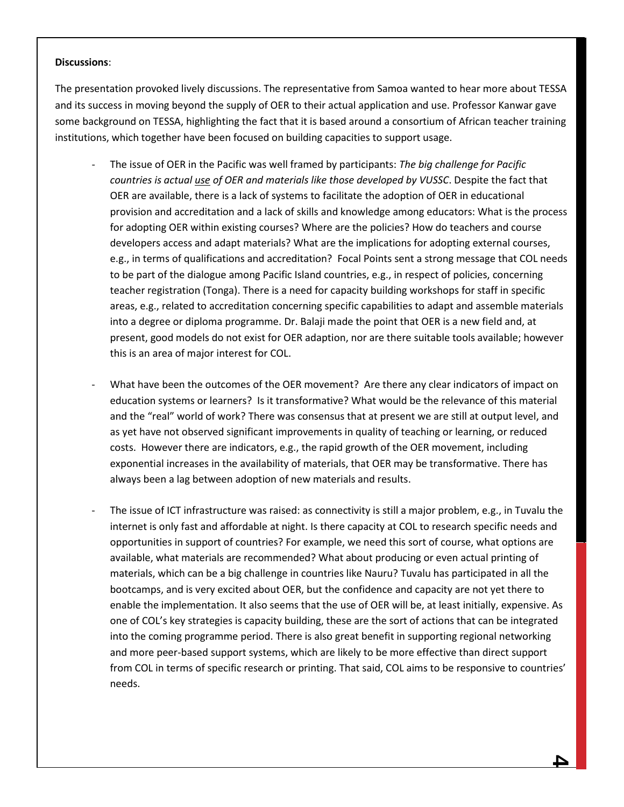#### **Discussions**:

The presentation provoked lively discussions. The representative from Samoa wanted to hear more about TESSA and its success in moving beyond the supply of OER to their actual application and use. Professor Kanwar gave some background on TESSA, highlighting the fact that it is based around a consortium of African teacher training institutions, which together have been focused on building capacities to support usage.

- The issue of OER in the Pacific was well framed by participants: *The big challenge for Pacific countries is actual use of OER and materials like those developed by VUSSC*. Despite the fact that OER are available, there is a lack of systems to facilitate the adoption of OER in educational provision and accreditation and a lack of skills and knowledge among educators: What is the process for adopting OER within existing courses? Where are the policies? How do teachers and course developers access and adapt materials? What are the implications for adopting external courses, e.g., in terms of qualifications and accreditation? Focal Points sent a strong message that COL needs to be part of the dialogue among Pacific Island countries, e.g., in respect of policies, concerning teacher registration (Tonga). There is a need for capacity building workshops for staff in specific areas, e.g., related to accreditation concerning specific capabilities to adapt and assemble materials into a degree or diploma programme. Dr. Balaji made the point that OER is a new field and, at present, good models do not exist for OER adaption, nor are there suitable tools available; however this is an area of major interest for COL.
- What have been the outcomes of the OER movement? Are there any clear indicators of impact on education systems or learners? Is it transformative? What would be the relevance of this material and the "real" world of work? There was consensus that at present we are still at output level, and as yet have not observed significant improvements in quality of teaching or learning, or reduced costs. However there are indicators, e.g., the rapid growth of the OER movement, including exponential increases in the availability of materials, that OER may be transformative. There has always been a lag between adoption of new materials and results.
- The issue of ICT infrastructure was raised: as connectivity is still a major problem, e.g., in Tuvalu the internet is only fast and affordable at night. Is there capacity at COL to research specific needs and opportunities in support of countries? For example, we need this sort of course, what options are available, what materials are recommended? What about producing or even actual printing of materials, which can be a big challenge in countries like Nauru? Tuvalu has participated in all the bootcamps, and is very excited about OER, but the confidence and capacity are not yet there to enable the implementation. It also seems that the use of OER will be, at least initially, expensive. As one of COL's key strategies is capacity building, these are the sort of actions that can be integrated into the coming programme period. There is also great benefit in supporting regional networking and more peer-based support systems, which are likely to be more effective than direct support from COL in terms of specific research or printing. That said, COL aims to be responsive to countries' needs.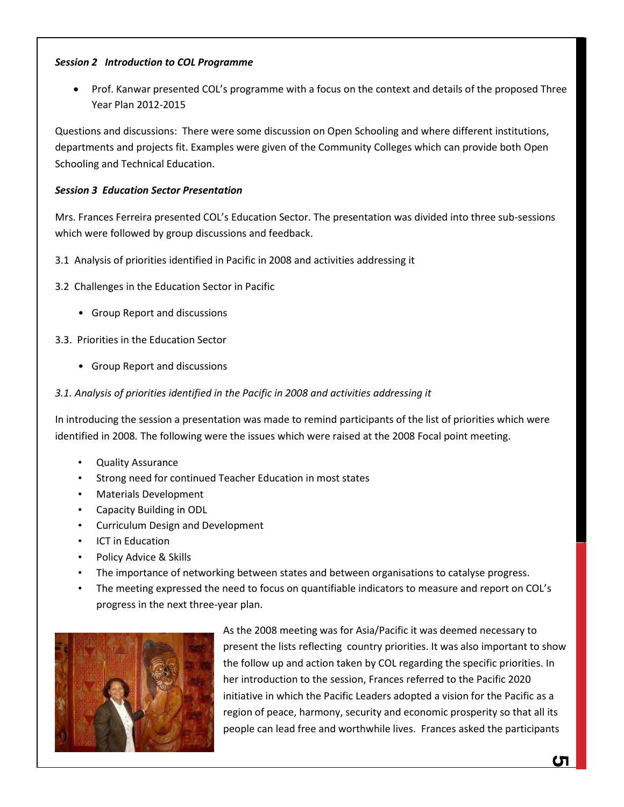# *Session 2 Introduction to COL Programme*

• Prof. Kanwar presented COL's programme with a focus on the context and details of the proposed Three Year Plan 2012-2015

Questions and discussions: There were some discussion on Open Schooling and where different institutions, departments and projects fit. Examples were given of the Community Colleges which can provide both Open Schooling and Technical Education.

#### *Session 3 Education Sector Presentation*

Mrs. Frances Ferreira presented COL's Education Sector. The presentation was divided into three sub-sessions which were followed by group discussions and feedback.

- 3.1 Analysis of priorities identified in Pacific in 2008 and activities addressing it
- 3.2 Challenges in the Education Sector in Pacific
	- Group Report and discussions

3.3. Priorities in the Education Sector

- Group Report and discussions
- *3.1. Analysis of priorities identified in the Pacific in 2008 and activities addressing it*

In introducing the session a presentation was made to remind participants of the list of priorities which were identified in 2008*.* The following were the issues which were raised at the 2008 Focal point meeting.

- Quality Assurance
- Strong need for continued Teacher Education in most states
- Materials Development
- Capacity Building in ODL
- Curriculum Design and Development
- ICT in Education
- Policy Advice & Skills
- The importance of networking between states and between organisations to catalyse progress.
- The meeting expressed the need to focus on quantifiable indicators to measure and report on COL's progress in the next three-year plan.



As the 2008 meeting was for Asia/Pacific it was deemed necessary to present the lists reflecting country priorities. It was also important to show the follow up and action taken by COL regarding the specific priorities. In her introduction to the session, Frances referred to the Pacific 2020 initiative in which the Pacific Leaders adopted a vision for the Pacific as a region of peace, harmony, security and economic prosperity so that all its people can lead free and worthwhile lives. Frances asked the participants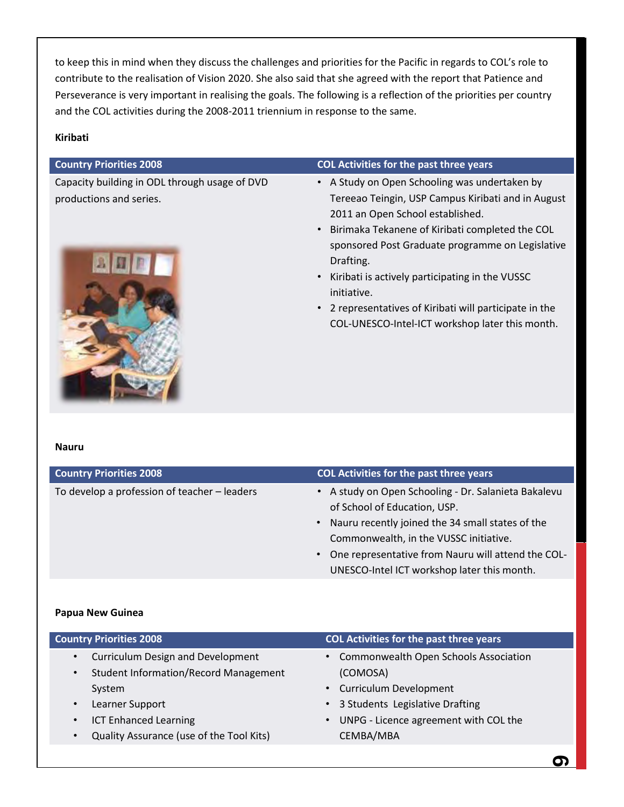to keep this in mind when they discuss the challenges and priorities for the Pacific in regards to COL's role to contribute to the realisation of Vision 2020. She also said that she agreed with the report that Patience and Perseverance is very important in realising the goals. The following is a reflection of the priorities per country and the COL activities during the 2008-2011 triennium in response to the same.

#### **Kiribati**

Capacity building in ODL through usage of DVD productions and series.



#### **Country Priorities 2008 COL Activities for the past three years**

- A Study on Open Schooling was undertaken by Tereeao Teingin, USP Campus Kiribati and in August 2011 an Open School established.
- Birimaka Tekanene of Kiribati completed the COL sponsored Post Graduate programme on Legislative Drafting.
- Kiribati is actively participating in the VUSSC initiative.
- 2 representatives of Kiribati will participate in the COL-UNESCO-Intel-ICT workshop later this month.

#### **Nauru**

| <b>Country Priorities 2008</b>               | COL Activities for the past three years                                                                                                                                                                                                                                                                           |
|----------------------------------------------|-------------------------------------------------------------------------------------------------------------------------------------------------------------------------------------------------------------------------------------------------------------------------------------------------------------------|
| To develop a profession of teacher - leaders | • A study on Open Schooling - Dr. Salanieta Bakalevu<br>of School of Education, USP.<br>Nauru recently joined the 34 small states of the<br>$\bullet$<br>Commonwealth, in the VUSSC initiative.<br>One representative from Nauru will attend the COL-<br>$\bullet$<br>UNESCO-Intel ICT workshop later this month. |
|                                              |                                                                                                                                                                                                                                                                                                                   |

#### **Papua New Guinea**

| <b>Country Priorities 2008</b>                            | COL Activities for the past three years            |
|-----------------------------------------------------------|----------------------------------------------------|
| <b>Curriculum Design and Development</b><br>$\bullet$     | • Commonwealth Open Schools Association            |
| <b>Student Information/Record Management</b><br>$\bullet$ | (COMOSA)                                           |
| System                                                    | • Curriculum Development                           |
| Learner Support<br>$\bullet$                              | 3 Students Legislative Drafting<br>$\bullet$       |
| <b>ICT Enhanced Learning</b><br>$\bullet$                 | UNPG - Licence agreement with COL the<br>$\bullet$ |
| Quality Assurance (use of the Tool Kits)                  | CEMBA/MBA                                          |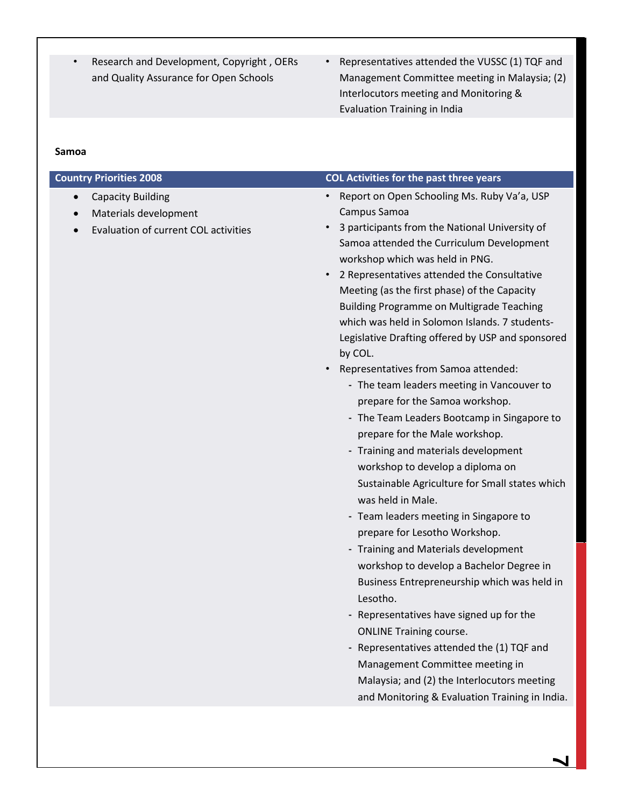- Research and Development, Copyright , OERs and Quality Assurance for Open Schools
- Representatives attended the VUSSC (1) TQF and Management Committee meeting in Malaysia; (2) Interlocutors meeting and Monitoring & Evaluation Training in India

#### **Samoa**

- Capacity Building
- Materials development
- Evaluation of current COL activities

#### **Country Priorities 2008 COL Activities for the past three years**

- Report on Open Schooling Ms. Ruby Va'a, USP Campus Samoa
- 3 participants from the National University of Samoa attended the Curriculum Development workshop which was held in PNG.
- 2 Representatives attended the Consultative Meeting (as the first phase) of the Capacity Building Programme on Multigrade Teaching which was held in Solomon Islands. 7 students-Legislative Drafting offered by USP and sponsored by COL.
- Representatives from Samoa attended:
	- The team leaders meeting in Vancouver to prepare for the Samoa workshop.
	- The Team Leaders Bootcamp in Singapore to prepare for the Male workshop.
	- Training and materials development workshop to develop a diploma on Sustainable Agriculture for Small states which was held in Male.
	- Team leaders meeting in Singapore to prepare for Lesotho Workshop.
	- Training and Materials development workshop to develop a Bachelor Degree in Business Entrepreneurship which was held in Lesotho.
	- Representatives have signed up for the ONLINE Training course.
	- Representatives attended the (1) TQF and Management Committee meeting in Malaysia; and (2) the Interlocutors meeting and Monitoring & Evaluation Training in India.

**7**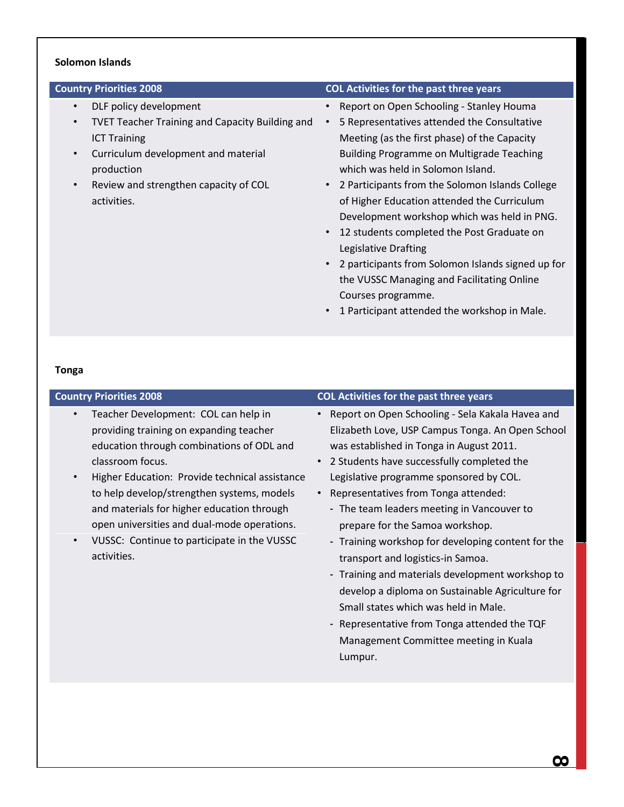#### **Solomon Islands**

- DLF policy development
- TVET Teacher Training and Capacity Building and ICT Training
- Curriculum development and material production
- Review and strengthen capacity of COL activities.

#### **Country Priorities 2008 COL Activities for the past three years**

- Report on Open Schooling Stanley Houma
- 5 Representatives attended the Consultative Meeting (as the first phase) of the Capacity Building Programme on Multigrade Teaching which was held in Solomon Island.
- 2 Participants from the Solomon Islands College of Higher Education attended the Curriculum Development workshop which was held in PNG.
- 12 students completed the Post Graduate on Legislative Drafting
- 2 participants from Solomon Islands signed up for the VUSSC Managing and Facilitating Online Courses programme.
- 1 Participant attended the workshop in Male.

#### **Tonga**

- Teacher Development: COL can help in providing training on expanding teacher education through combinations of ODL and classroom focus.
- Higher Education: Provide technical assistance to help develop/strengthen systems, models and materials for higher education through open universities and dual-mode operations.
- VUSSC: Continue to participate in the VUSSC activities.

#### **Country Priorities 2008 COL Activities for the past three years**

- Report on Open Schooling Sela Kakala Havea and Elizabeth Love, USP Campus Tonga. An Open School was established in Tonga in August 2011.
- 2 Students have successfully completed the Legislative programme sponsored by COL.
- Representatives from Tonga attended:
	- The team leaders meeting in Vancouver to prepare for the Samoa workshop.
	- Training workshop for developing content for the transport and logistics-in Samoa.
	- Training and materials development workshop to develop a diploma on Sustainable Agriculture for Small states which was held in Male.
	- Representative from Tonga attended the TQF Management Committee meeting in Kuala Lumpur.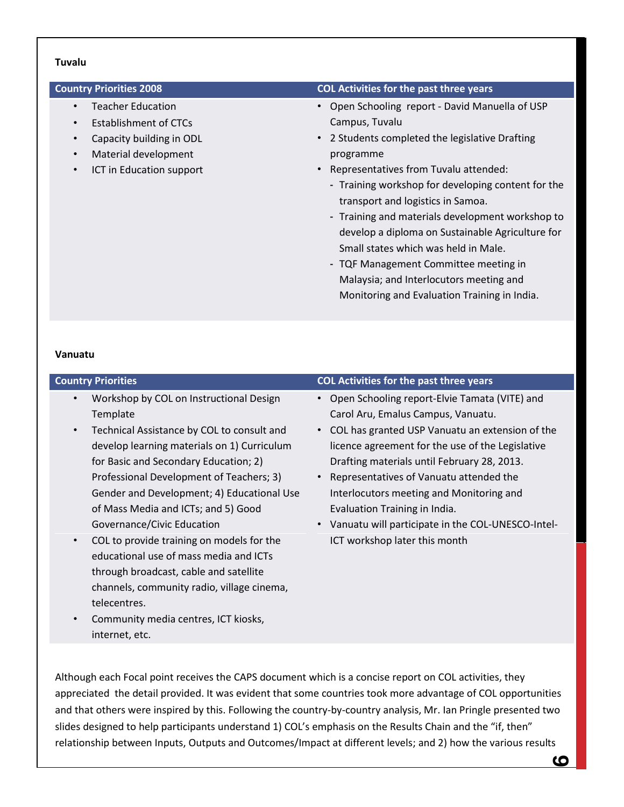#### **Tuvalu**

- Teacher Education
- Establishment of CTCs
- Capacity building in ODL
- Material development
- ICT in Education support

#### **Country Priorities 2008 COL Activities for the past three years**

- Open Schooling report David Manuella of USP Campus, Tuvalu
- 2 Students completed the legislative Drafting programme
- Representatives from Tuvalu attended:
	- Training workshop for developing content for the transport and logistics in Samoa.
	- Training and materials development workshop to develop a diploma on Sustainable Agriculture for Small states which was held in Male.
	- TQF Management Committee meeting in Malaysia; and Interlocutors meeting and Monitoring and Evaluation Training in India.

#### **Vanuatu**

# **Country Priorities COL Activities for the past three years**

- Workshop by COL on Instructional Design **Template**
- Technical Assistance by COL to consult and develop learning materials on 1) Curriculum for Basic and Secondary Education; 2) Professional Development of Teachers; 3) Gender and Development; 4) Educational Use of Mass Media and ICTs; and 5) Good Governance/Civic Education
- COL to provide training on models for the educational use of mass media and ICTs through broadcast, cable and satellite channels, community radio, village cinema, telecentres.
- Community media centres, ICT kiosks, internet, etc.
- Open Schooling report-Elvie Tamata (VITE) and Carol Aru, Emalus Campus, Vanuatu.
- COL has granted USP Vanuatu an extension of the licence agreement for the use of the Legislative Drafting materials until February 28, 2013.
- Representatives of Vanuatu attended the Interlocutors meeting and Monitoring and Evaluation Training in India.
- Vanuatu will participate in the COL-UNESCO-Intel-ICT workshop later this month

Although each Focal point receives the CAPS document which is a concise report on COL activities, they appreciated the detail provided. It was evident that some countries took more advantage of COL opportunities and that others were inspired by this. Following the country-by-country analysis, Mr. Ian Pringle presented two slides designed to help participants understand 1) COL's emphasis on the Results Chain and the "if, then" relationship between Inputs, Outputs and Outcomes/Impact at different levels; and 2) how the various results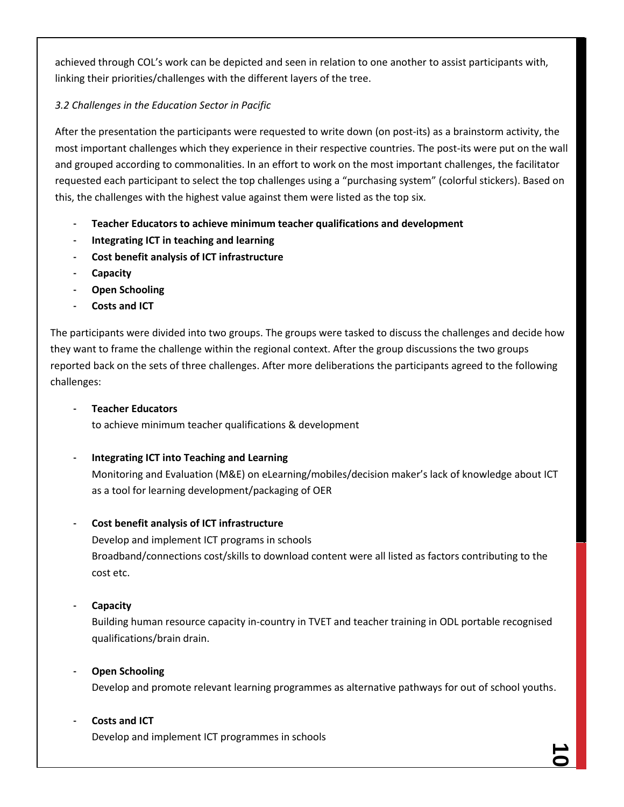achieved through COL's work can be depicted and seen in relation to one another to assist participants with, linking their priorities/challenges with the different layers of the tree.

# *3.2 Challenges in the Education Sector in Pacific*

After the presentation the participants were requested to write down (on post-its) as a brainstorm activity, the most important challenges which they experience in their respective countries. The post-its were put on the wall and grouped according to commonalities. In an effort to work on the most important challenges, the facilitator requested each participant to select the top challenges using a "purchasing system" (colorful stickers). Based on this, the challenges with the highest value against them were listed as the top six.

- **Teacher Educators to achieve minimum teacher qualifications and development**
- **Integrating ICT in teaching and learning**
- **Cost benefit analysis of ICT infrastructure**
- **Capacity**
- **Open Schooling**
- **Costs and ICT**

The participants were divided into two groups. The groups were tasked to discuss the challenges and decide how they want to frame the challenge within the regional context. After the group discussions the two groups reported back on the sets of three challenges. After more deliberations the participants agreed to the following challenges:

### - **Teacher Educators**

to achieve minimum teacher qualifications & development

# - **Integrating ICT into Teaching and Learning**

Monitoring and Evaluation (M&E) on eLearning/mobiles/decision maker's lack of knowledge about ICT as a tool for learning development/packaging of OER

# - **Cost benefit analysis of ICT infrastructure**

Develop and implement ICT programs in schools Broadband/connections cost/skills to download content were all listed as factors contributing to the cost etc.

# - **Capacity**

Building human resource capacity in-country in TVET and teacher training in ODL portable recognised qualifications/brain drain.

# - **Open Schooling**

Develop and promote relevant learning programmes as alternative pathways for out of school youths.

# - **Costs and ICT**

Develop and implement ICT programmes in schools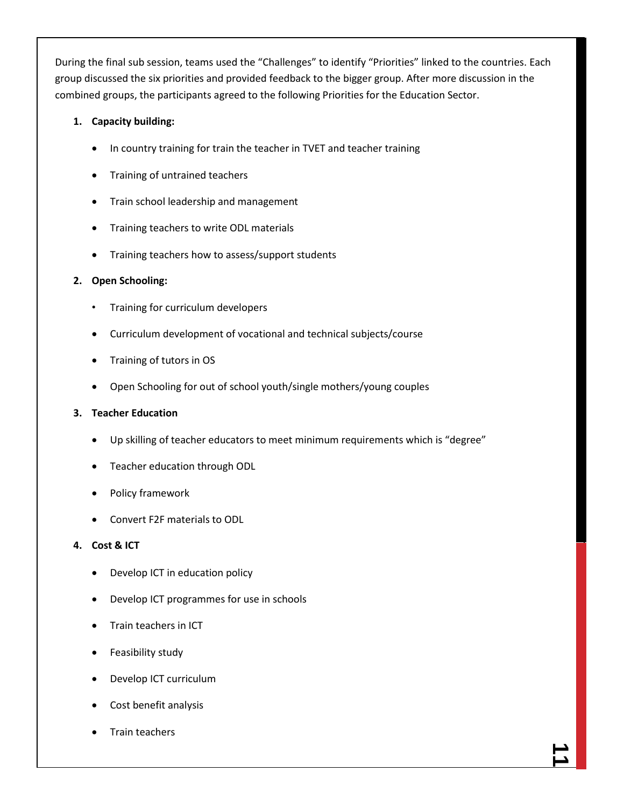During the final sub session, teams used the "Challenges" to identify "Priorities" linked to the countries. Each group discussed the six priorities and provided feedback to the bigger group. After more discussion in the combined groups, the participants agreed to the following Priorities for the Education Sector.

# **1. Capacity building:**

- In country training for train the teacher in TVET and teacher training
- Training of untrained teachers
- **•** Train school leadership and management
- Training teachers to write ODL materials
- Training teachers how to assess/support students

# **2. Open Schooling:**

- Training for curriculum developers
- Curriculum development of vocational and technical subjects/course
- Training of tutors in OS
- Open Schooling for out of school youth/single mothers/young couples

#### **3. Teacher Education**

- Up skilling of teacher educators to meet minimum requirements which is "degree"
- Teacher education through ODL
- Policy framework
- Convert F2F materials to ODL

# **4. Cost & ICT**

- Develop ICT in education policy
- Develop ICT programmes for use in schools
- Train teachers in ICT
- Feasibility study
- Develop ICT curriculum
- Cost benefit analysis
- Train teachers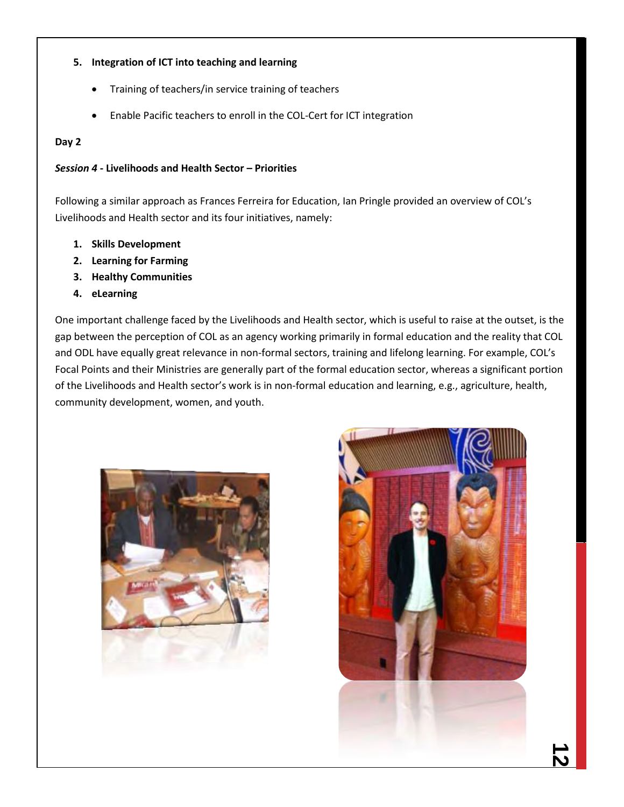# **5. Integration of ICT into teaching and learning**

- Training of teachers/in service training of teachers
- Enable Pacific teachers to enroll in the COL-Cert for ICT integration

# **Day 2**

# *Session 4* **- Livelihoods and Health Sector – Priorities**

Following a similar approach as Frances Ferreira for Education, Ian Pringle provided an overview of COL's Livelihoods and Health sector and its four initiatives, namely:

- **1. Skills Development**
- **2. Learning for Farming**
- **3. Healthy Communities**
- **4. eLearning**

One important challenge faced by the Livelihoods and Health sector, which is useful to raise at the outset, is the gap between the perception of COL as an agency working primarily in formal education and the reality that COL and ODL have equally great relevance in non-formal sectors, training and lifelong learning. For example, COL's Focal Points and their Ministries are generally part of the formal education sector, whereas a significant portion of the Livelihoods and Health sector's work is in non-formal education and learning, e.g., agriculture, health, community development, women, and youth.



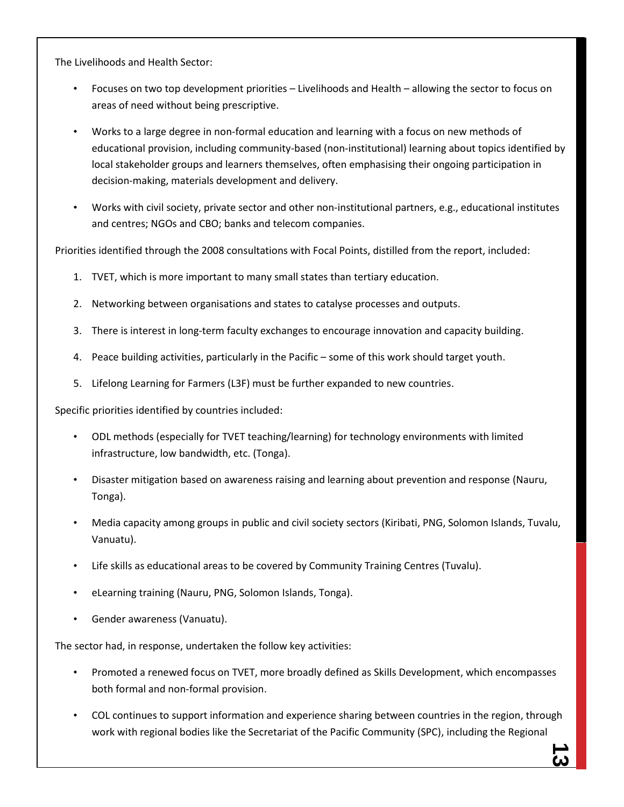The Livelihoods and Health Sector:

- Focuses on two top development priorities Livelihoods and Health allowing the sector to focus on areas of need without being prescriptive.
- Works to a large degree in non-formal education and learning with a focus on new methods of educational provision, including community-based (non-institutional) learning about topics identified by local stakeholder groups and learners themselves, often emphasising their ongoing participation in decision-making, materials development and delivery.
- Works with civil society, private sector and other non-institutional partners, e.g., educational institutes and centres; NGOs and CBO; banks and telecom companies.

Priorities identified through the 2008 consultations with Focal Points, distilled from the report, included:

- 1. TVET, which is more important to many small states than tertiary education.
- 2. Networking between organisations and states to catalyse processes and outputs.
- 3. There is interest in long-term faculty exchanges to encourage innovation and capacity building.
- 4. Peace building activities, particularly in the Pacific some of this work should target youth.
- 5. Lifelong Learning for Farmers (L3F) must be further expanded to new countries.

Specific priorities identified by countries included:

- ODL methods (especially for TVET teaching/learning) for technology environments with limited infrastructure, low bandwidth, etc. (Tonga).
- Disaster mitigation based on awareness raising and learning about prevention and response (Nauru, Tonga).
- Media capacity among groups in public and civil society sectors (Kiribati, PNG, Solomon Islands, Tuvalu, Vanuatu).
- Life skills as educational areas to be covered by Community Training Centres (Tuvalu).
- eLearning training (Nauru, PNG, Solomon Islands, Tonga).
- Gender awareness (Vanuatu).

The sector had, in response, undertaken the follow key activities:

- Promoted a renewed focus on TVET, more broadly defined as Skills Development, which encompasses both formal and non-formal provision.
- COL continues to support information and experience sharing between countries in the region, through work with regional bodies like the Secretariat of the Pacific Community (SPC), including the Regional

<u>د،</u>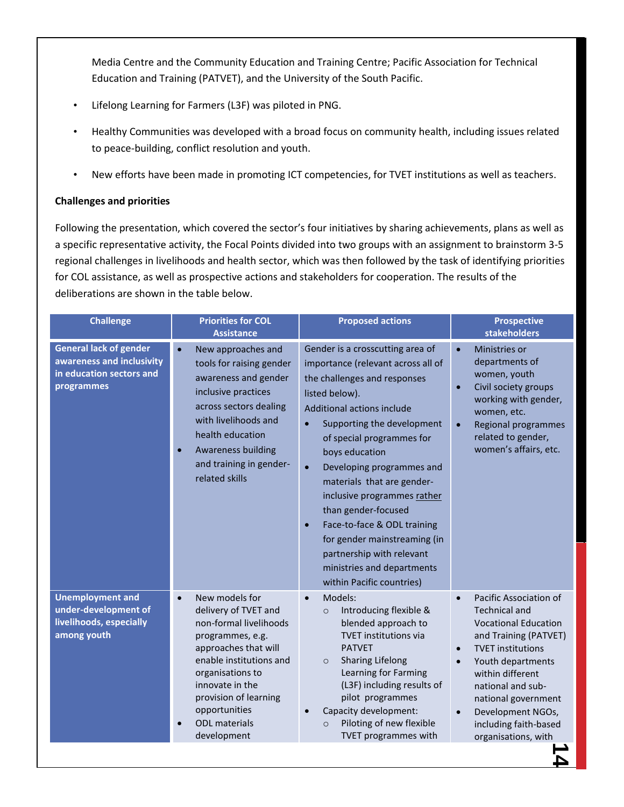Media Centre and the Community Education and Training Centre; Pacific Association for Technical Education and Training (PATVET), and the University of the South Pacific.

- Lifelong Learning for Farmers (L3F) was piloted in PNG.
- Healthy Communities was developed with a broad focus on community health, including issues related to peace-building, conflict resolution and youth.
- New efforts have been made in promoting ICT competencies, for TVET institutions as well as teachers.

# **Challenges and priorities**

Following the presentation, which covered the sector's four initiatives by sharing achievements, plans as well as a specific representative activity, the Focal Points divided into two groups with an assignment to brainstorm 3-5 regional challenges in livelihoods and health sector, which was then followed by the task of identifying priorities for COL assistance, as well as prospective actions and stakeholders for cooperation. The results of the deliberations are shown in the table below.

| <b>Challenge</b>                                                                                     | <b>Priorities for COL</b><br><b>Assistance</b>                                                                                                                                                                                                                               | <b>Proposed actions</b>                                                                                                                                                                                                                                                                                                                                                                                                                                                                                                               | <b>Prospective</b><br><b>stakeholders</b>                                                                                                                                                                                                                                                                                                        |
|------------------------------------------------------------------------------------------------------|------------------------------------------------------------------------------------------------------------------------------------------------------------------------------------------------------------------------------------------------------------------------------|---------------------------------------------------------------------------------------------------------------------------------------------------------------------------------------------------------------------------------------------------------------------------------------------------------------------------------------------------------------------------------------------------------------------------------------------------------------------------------------------------------------------------------------|--------------------------------------------------------------------------------------------------------------------------------------------------------------------------------------------------------------------------------------------------------------------------------------------------------------------------------------------------|
| <b>General lack of gender</b><br>awareness and inclusivity<br>in education sectors and<br>programmes | New approaches and<br>$\bullet$<br>tools for raising gender<br>awareness and gender<br>inclusive practices<br>across sectors dealing<br>with livelihoods and<br>health education<br><b>Awareness building</b><br>and training in gender-<br>related skills                   | Gender is a crosscutting area of<br>importance (relevant across all of<br>the challenges and responses<br>listed below).<br>Additional actions include<br>Supporting the development<br>$\bullet$<br>of special programmes for<br>boys education<br>Developing programmes and<br>$\bullet$<br>materials that are gender-<br>inclusive programmes rather<br>than gender-focused<br>Face-to-face & ODL training<br>for gender mainstreaming (in<br>partnership with relevant<br>ministries and departments<br>within Pacific countries) | Ministries or<br>$\bullet$<br>departments of<br>women, youth<br>Civil society groups<br>$\bullet$<br>working with gender,<br>women, etc.<br>Regional programmes<br>$\bullet$<br>related to gender,<br>women's affairs, etc.                                                                                                                      |
| <b>Unemployment and</b><br>under-development of<br>livelihoods, especially<br>among youth            | New models for<br>$\bullet$<br>delivery of TVET and<br>non-formal livelihoods<br>programmes, e.g.<br>approaches that will<br>enable institutions and<br>organisations to<br>innovate in the<br>provision of learning<br>opportunities<br><b>ODL</b> materials<br>development | Models:<br>Introducing flexible &<br>$\circ$<br>blended approach to<br><b>TVET institutions via</b><br><b>PATVET</b><br><b>Sharing Lifelong</b><br>$\circ$<br>Learning for Farming<br>(L3F) including results of<br>pilot programmes<br>Capacity development:<br>Piloting of new flexible<br>$\circ$<br>TVET programmes with                                                                                                                                                                                                          | Pacific Association of<br>$\bullet$<br><b>Technical and</b><br><b>Vocational Education</b><br>and Training (PATVET)<br><b>TVET institutions</b><br>$\bullet$<br>Youth departments<br>$\bullet$<br>within different<br>national and sub-<br>national government<br>Development NGOs,<br>$\bullet$<br>including faith-based<br>organisations, with |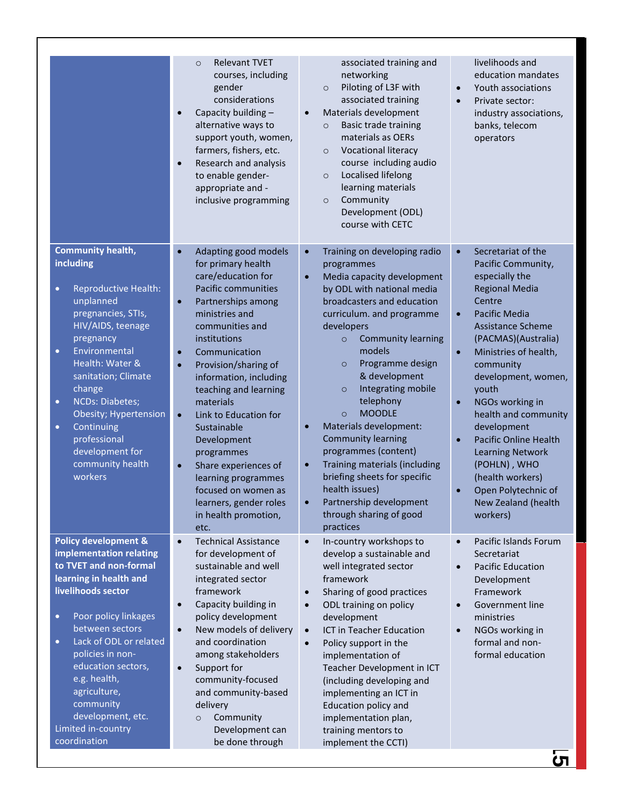|                                                                                                                                                                                                                                                                                                                                                                                                              | <b>Relevant TVET</b><br>$\circ$<br>courses, including<br>gender<br>considerations<br>Capacity building -<br>alternative ways to<br>support youth, women,<br>farmers, fishers, etc.<br>Research and analysis<br>to enable gender-<br>appropriate and -<br>inclusive programming                                                                                                                                                                                                                                                                    | associated training and<br>networking<br>Piloting of L3F with<br>$\circ$<br>associated training<br>Materials development<br><b>Basic trade training</b><br>$\circ$<br>materials as OERs<br><b>Vocational literacy</b><br>$\circ$<br>course including audio<br>Localised lifelong<br>$\circ$<br>learning materials<br>Community<br>$\circ$<br>Development (ODL)<br>course with CETC                                                                                                                                                                                                                                                      | livelihoods and<br>education mandates<br>Youth associations<br>$\bullet$<br>Private sector:<br>$\bullet$<br>industry associations,<br>banks, telecom<br>operators                                                                                                                                                                                                                                                                                                                                                                        |
|--------------------------------------------------------------------------------------------------------------------------------------------------------------------------------------------------------------------------------------------------------------------------------------------------------------------------------------------------------------------------------------------------------------|---------------------------------------------------------------------------------------------------------------------------------------------------------------------------------------------------------------------------------------------------------------------------------------------------------------------------------------------------------------------------------------------------------------------------------------------------------------------------------------------------------------------------------------------------|-----------------------------------------------------------------------------------------------------------------------------------------------------------------------------------------------------------------------------------------------------------------------------------------------------------------------------------------------------------------------------------------------------------------------------------------------------------------------------------------------------------------------------------------------------------------------------------------------------------------------------------------|------------------------------------------------------------------------------------------------------------------------------------------------------------------------------------------------------------------------------------------------------------------------------------------------------------------------------------------------------------------------------------------------------------------------------------------------------------------------------------------------------------------------------------------|
| <b>Community health,</b><br><i>including</i><br><b>Reproductive Health:</b><br>$\bullet$<br>unplanned<br>pregnancies, STIs,<br>HIV/AIDS, teenage<br>pregnancy<br>Environmental<br>$\bullet$<br>Health: Water &<br>sanitation; Climate<br>change<br><b>NCDs: Diabetes;</b><br>$\bullet$<br>Obesity; Hypertension<br>Continuing<br>$\bullet$<br>professional<br>development for<br>community health<br>workers | Adapting good models<br>for primary health<br>care/education for<br>Pacific communities<br>Partnerships among<br>$\bullet$<br>ministries and<br>communities and<br>institutions<br>Communication<br>$\bullet$<br>Provision/sharing of<br>$\bullet$<br>information, including<br>teaching and learning<br>materials<br>Link to Education for<br>$\bullet$<br>Sustainable<br>Development<br>programmes<br>Share experiences of<br>$\bullet$<br>learning programmes<br>focused on women as<br>learners, gender roles<br>in health promotion,<br>etc. | Training on developing radio<br>$\bullet$<br>programmes<br>Media capacity development<br>$\bullet$<br>by ODL with national media<br>broadcasters and education<br>curriculum. and programme<br>developers<br><b>Community learning</b><br>$\circ$<br>models<br>Programme design<br>$\circ$<br>& development<br>Integrating mobile<br>$\circ$<br>telephony<br><b>MOODLE</b><br>$\circ$<br>Materials development:<br>$\bullet$<br><b>Community learning</b><br>programmes (content)<br>Training materials (including<br>briefing sheets for specific<br>health issues)<br>Partnership development<br>through sharing of good<br>practices | Secretariat of the<br>$\bullet$<br>Pacific Community,<br>especially the<br><b>Regional Media</b><br>Centre<br>Pacific Media<br>$\bullet$<br><b>Assistance Scheme</b><br>(PACMAS)(Australia)<br>Ministries of health,<br>$\bullet$<br>community<br>development, women,<br>youth<br>NGOs working in<br>$\bullet$<br>health and community<br>development<br><b>Pacific Online Health</b><br>$\bullet$<br><b>Learning Network</b><br>(POHLN), WHO<br>(health workers)<br>Open Polytechnic of<br>$\bullet$<br>New Zealand (health<br>workers) |
| <b>Policy development &amp;</b><br>implementation relating<br>to TVET and non-formal<br>learning in health and<br>livelihoods sector<br>Poor policy linkages<br>$\bullet$<br>between sectors<br>Lack of ODL or related<br>$\bullet$<br>policies in non-<br>education sectors,<br>e.g. health,<br>agriculture,<br>community<br>development, etc.<br>Limited in-country<br>coordination                        | <b>Technical Assistance</b><br>$\bullet$<br>for development of<br>sustainable and well<br>integrated sector<br>framework<br>Capacity building in<br>$\bullet$<br>policy development<br>New models of delivery<br>$\bullet$<br>and coordination<br>among stakeholders<br>Support for<br>$\bullet$<br>community-focused<br>and community-based<br>delivery<br>Community<br>$\circ$<br>Development can<br>be done through                                                                                                                            | In-country workshops to<br>$\bullet$<br>develop a sustainable and<br>well integrated sector<br>framework<br>Sharing of good practices<br>$\bullet$<br>ODL training on policy<br>$\bullet$<br>development<br>ICT in Teacher Education<br>$\bullet$<br>Policy support in the<br>implementation of<br>Teacher Development in ICT<br>(including developing and<br>implementing an ICT in<br>Education policy and<br>implementation plan,<br>training mentors to<br>implement the CCTI)                                                                                                                                                      | Pacific Islands Forum<br>$\bullet$<br>Secretariat<br><b>Pacific Education</b><br>$\bullet$<br>Development<br>Framework<br>Government line<br>ministries<br>NGOs working in<br>$\bullet$<br>formal and non-<br>formal education<br>ပာ                                                                                                                                                                                                                                                                                                     |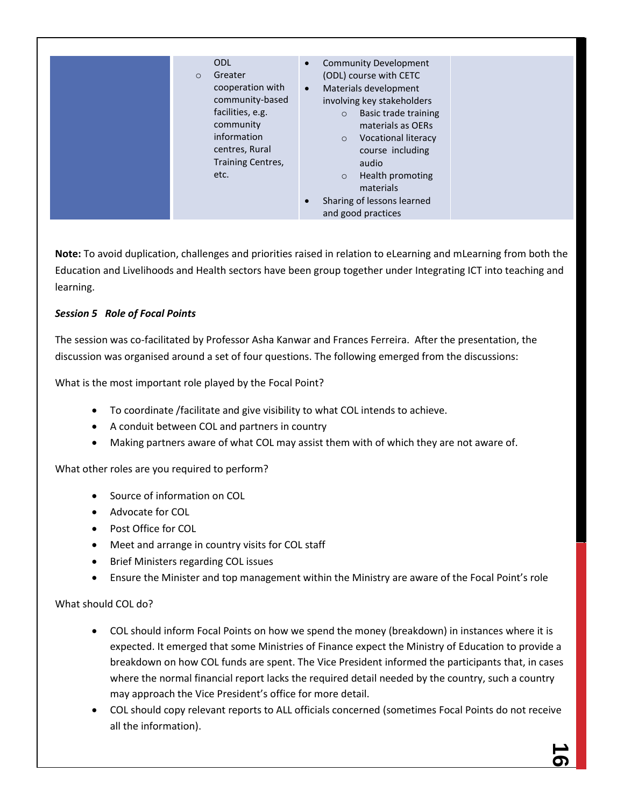| <b>ODL</b><br>Greater<br>$\circ$<br>cooperation with                                                           | <b>Community Development</b><br>$\bullet$<br>(ODL) course with CETC<br>Materials development<br>$\bullet$                                                                                                                                       |  |
|----------------------------------------------------------------------------------------------------------------|-------------------------------------------------------------------------------------------------------------------------------------------------------------------------------------------------------------------------------------------------|--|
| community-based<br>facilities, e.g.<br>community<br>information<br>centres, Rural<br>Training Centres,<br>etc. | involving key stakeholders<br>Basic trade training<br>$\circ$<br>materials as OERs<br><b>Vocational literacy</b><br>$\circ$<br>course including<br>audio<br>Health promoting<br>$\circ$<br>materials<br>Sharing of lessons learned<br>$\bullet$ |  |
|                                                                                                                | and good practices                                                                                                                                                                                                                              |  |

**Note:** To avoid duplication, challenges and priorities raised in relation to eLearning and mLearning from both the Education and Livelihoods and Health sectors have been group together under Integrating ICT into teaching and learning.

# *Session 5 Role of Focal Points*

The session was co-facilitated by Professor Asha Kanwar and Frances Ferreira. After the presentation, the discussion was organised around a set of four questions. The following emerged from the discussions:

What is the most important role played by the Focal Point?

- To coordinate /facilitate and give visibility to what COL intends to achieve.
- A conduit between COL and partners in country
- Making partners aware of what COL may assist them with of which they are not aware of.

What other roles are you required to perform?

- Source of information on COL
- Advocate for COL
- Post Office for COL
- Meet and arrange in country visits for COL staff
- Brief Ministers regarding COL issues
- Ensure the Minister and top management within the Ministry are aware of the Focal Point's role

# What should COL do?

- COL should inform Focal Points on how we spend the money (breakdown) in instances where it is expected. It emerged that some Ministries of Finance expect the Ministry of Education to provide a breakdown on how COL funds are spent. The Vice President informed the participants that, in cases where the normal financial report lacks the required detail needed by the country, such a country may approach the Vice President's office for more detail.
- COL should copy relevant reports to ALL officials concerned (sometimes Focal Points do not receive all the information).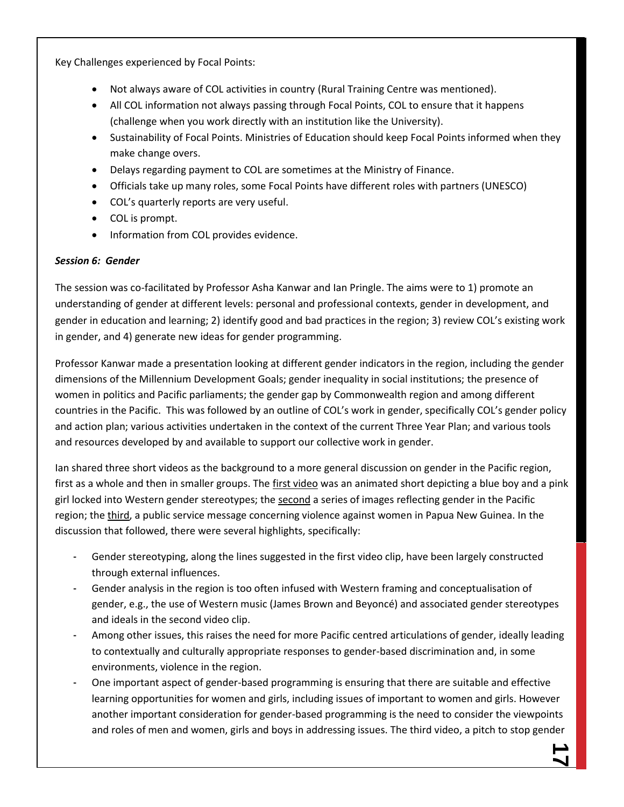Key Challenges experienced by Focal Points:

- Not always aware of COL activities in country (Rural Training Centre was mentioned).
- All COL information not always passing through Focal Points, COL to ensure that it happens (challenge when you work directly with an institution like the University).
- Sustainability of Focal Points. Ministries of Education should keep Focal Points informed when they make change overs.
- Delays regarding payment to COL are sometimes at the Ministry of Finance.
- Officials take up many roles, some Focal Points have different roles with partners (UNESCO)
- COL's quarterly reports are very useful.
- COL is prompt.
- **•** Information from COL provides evidence.

#### *Session 6: Gender*

The session was co-facilitated by Professor Asha Kanwar and Ian Pringle. The aims were to 1) promote an understanding of gender at different levels: personal and professional contexts, gender in development, and gender in education and learning; 2) identify good and bad practices in the region; 3) review COL's existing work in gender, and 4) generate new ideas for gender programming.

Professor Kanwar made a presentation looking at different gender indicators in the region, including the gender dimensions of the Millennium Development Goals; gender inequality in social institutions; the presence of women in politics and Pacific parliaments; the gender gap by Commonwealth region and among different countries in the Pacific. This was followed by an outline of COL's work in gender, specifically COL's gender policy and action plan; various activities undertaken in the context of the current Three Year Plan; and various tools and resources developed by and available to support our collective work in gender.

Ian shared three short videos as the background to a more general discussion on gender in the Pacific region, first as a whole and then in smaller groups. Th[e first video](http://www.youtube.com/watch?v=pF1j22x-yU8) was an animated short depicting a blue boy and a pink girl locked into Western gender stereotypes; the [second](http://www.youtube.com/watch?v=f4XCJig6aiA) a series of images reflecting gender in the Pacific region; th[e third,](http://www.youtube.com/watch?v=umPbQB9bLSo&feature=related) a public service message concerning violence against women in Papua New Guinea. In the discussion that followed, there were several highlights, specifically:

- Gender stereotyping, along the lines suggested in the first video clip, have been largely constructed through external influences.
- Gender analysis in the region is too often infused with Western framing and conceptualisation of gender, e.g., the use of Western music (James Brown and Beyoncé) and associated gender stereotypes and ideals in the second video clip.
- Among other issues, this raises the need for more Pacific centred articulations of gender, ideally leading to contextually and culturally appropriate responses to gender-based discrimination and, in some environments, violence in the region.
- One important aspect of gender-based programming is ensuring that there are suitable and effective learning opportunities for women and girls, including issues of important to women and girls. However another important consideration for gender-based programming is the need to consider the viewpoints and roles of men and women, girls and boys in addressing issues. The third video, a pitch to stop gender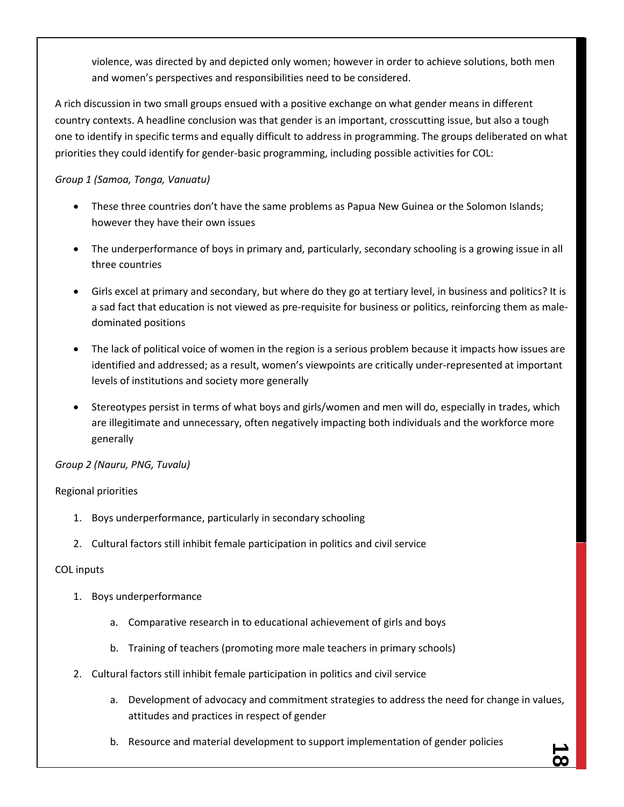violence, was directed by and depicted only women; however in order to achieve solutions, both men and women's perspectives and responsibilities need to be considered.

A rich discussion in two small groups ensued with a positive exchange on what gender means in different country contexts. A headline conclusion was that gender is an important, crosscutting issue, but also a tough one to identify in specific terms and equally difficult to address in programming. The groups deliberated on what priorities they could identify for gender-basic programming, including possible activities for COL:

# *Group 1 (Samoa, Tonga, Vanuatu)*

- These three countries don't have the same problems as Papua New Guinea or the Solomon Islands; however they have their own issues
- The underperformance of boys in primary and, particularly, secondary schooling is a growing issue in all three countries
- Girls excel at primary and secondary, but where do they go at tertiary level, in business and politics? It is a sad fact that education is not viewed as pre-requisite for business or politics, reinforcing them as maledominated positions
- The lack of political voice of women in the region is a serious problem because it impacts how issues are identified and addressed; as a result, women's viewpoints are critically under-represented at important levels of institutions and society more generally
- Stereotypes persist in terms of what boys and girls/women and men will do, especially in trades, which are illegitimate and unnecessary, often negatively impacting both individuals and the workforce more generally

# *Group 2 (Nauru, PNG, Tuvalu)*

# Regional priorities

- 1. Boys underperformance, particularly in secondary schooling
- 2. Cultural factors still inhibit female participation in politics and civil service

# COL inputs

- 1. Boys underperformance
	- a. Comparative research in to educational achievement of girls and boys
	- b. Training of teachers (promoting more male teachers in primary schools)
- 2. Cultural factors still inhibit female participation in politics and civil service
	- a. Development of advocacy and commitment strategies to address the need for change in values, attitudes and practices in respect of gender
	- b. Resource and material development to support implementation of gender policies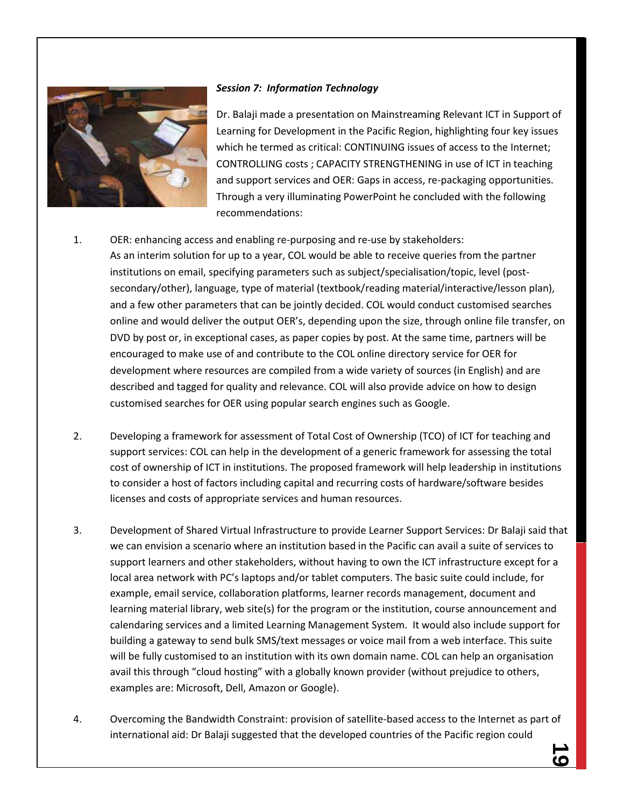

#### *Session 7: Information Technology*

Dr. Balaji made a presentation on Mainstreaming Relevant ICT in Support of Learning for Development in the Pacific Region, highlighting four key issues which he termed as critical: CONTINUING issues of access to the Internet; CONTROLLING costs ; CAPACITY STRENGTHENING in use of ICT in teaching and support services and OER: Gaps in access, re-packaging opportunities. Through a very illuminating PowerPoint he concluded with the following recommendations:

- 1. OER: enhancing access and enabling re-purposing and re-use by stakeholders: As an interim solution for up to a year, COL would be able to receive queries from the partner institutions on email, specifying parameters such as subject/specialisation/topic, level (postsecondary/other), language, type of material (textbook/reading material/interactive/lesson plan), and a few other parameters that can be jointly decided. COL would conduct customised searches online and would deliver the output OER's, depending upon the size, through online file transfer, on DVD by post or, in exceptional cases, as paper copies by post. At the same time, partners will be encouraged to make use of and contribute to the COL online directory service for OER for development where resources are compiled from a wide variety of sources (in English) and are described and tagged for quality and relevance. COL will also provide advice on how to design customised searches for OER using popular search engines such as Google.
- 2. Developing a framework for assessment of Total Cost of Ownership (TCO) of ICT for teaching and support services: COL can help in the development of a generic framework for assessing the total cost of ownership of ICT in institutions. The proposed framework will help leadership in institutions to consider a host of factors including capital and recurring costs of hardware/software besides licenses and costs of appropriate services and human resources.
- 3. Development of Shared Virtual Infrastructure to provide Learner Support Services: Dr Balaji said that we can envision a scenario where an institution based in the Pacific can avail a suite of services to support learners and other stakeholders, without having to own the ICT infrastructure except for a local area network with PC's laptops and/or tablet computers. The basic suite could include, for example, email service, collaboration platforms, learner records management, document and learning material library, web site(s) for the program or the institution, course announcement and calendaring services and a limited Learning Management System. It would also include support for building a gateway to send bulk SMS/text messages or voice mail from a web interface. This suite will be fully customised to an institution with its own domain name. COL can help an organisation avail this through "cloud hosting" with a globally known provider (without prejudice to others, examples are: Microsoft, Dell, Amazon or Google).
- 4. Overcoming the Bandwidth Constraint: provision of satellite-based access to the Internet as part of international aid: Dr Balaji suggested that the developed countries of the Pacific region could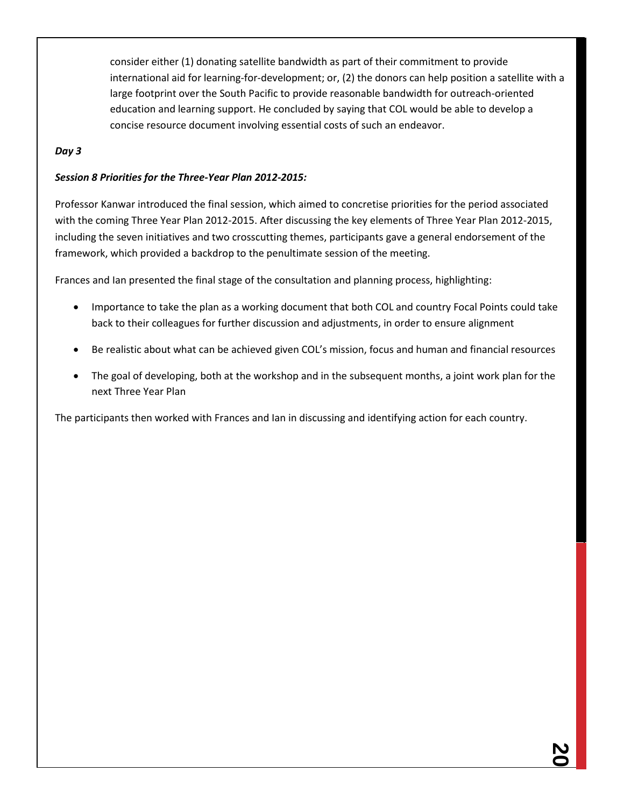consider either (1) donating satellite bandwidth as part of their commitment to provide international aid for learning-for-development; or, (2) the donors can help position a satellite with a large footprint over the South Pacific to provide reasonable bandwidth for outreach-oriented education and learning support. He concluded by saying that COL would be able to develop a concise resource document involving essential costs of such an endeavor.

# *Day 3*

# *Session 8 Priorities for the Three-Year Plan 2012-2015:*

Professor Kanwar introduced the final session, which aimed to concretise priorities for the period associated with the coming Three Year Plan 2012-2015. After discussing the key elements of Three Year Plan 2012-2015, including the seven initiatives and two crosscutting themes, participants gave a general endorsement of the framework, which provided a backdrop to the penultimate session of the meeting.

Frances and Ian presented the final stage of the consultation and planning process, highlighting:

- Importance to take the plan as a working document that both COL and country Focal Points could take back to their colleagues for further discussion and adjustments, in order to ensure alignment
- Be realistic about what can be achieved given COL's mission, focus and human and financial resources
- The goal of developing, both at the workshop and in the subsequent months, a joint work plan for the next Three Year Plan

The participants then worked with Frances and Ian in discussing and identifying action for each country.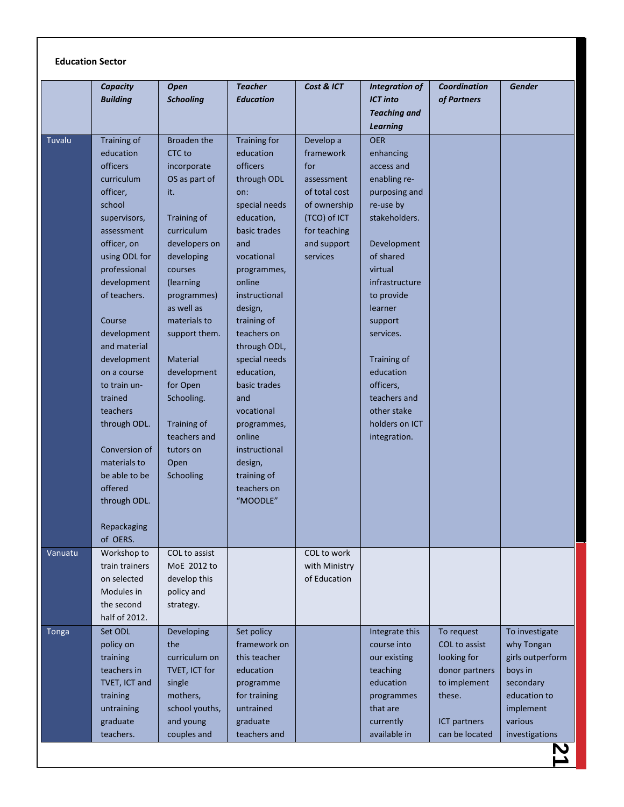|              | <b>Capacity</b>            | <b>Open</b>            | <b>Teacher</b>             | Cost & ICT    | <b>Integration of</b>     | <b>Coordination</b> | <b>Gender</b>    |
|--------------|----------------------------|------------------------|----------------------------|---------------|---------------------------|---------------------|------------------|
|              | <b>Building</b>            | <b>Schooling</b>       | <b>Education</b>           |               | <b>ICT into</b>           | of Partners         |                  |
|              |                            |                        |                            |               | <b>Teaching and</b>       |                     |                  |
|              |                            |                        |                            |               | <b>Learning</b>           |                     |                  |
| Tuvalu       | Training of                | <b>Broaden the</b>     | <b>Training for</b>        | Develop a     | <b>OER</b>                |                     |                  |
|              | education                  | CTC to                 | education                  | framework     | enhancing                 |                     |                  |
|              | <b>officers</b>            | incorporate            | <b>officers</b>            | for           | access and                |                     |                  |
|              | curriculum                 | OS as part of          | through ODL                | assessment    | enabling re-              |                     |                  |
|              | officer,                   | it.                    | on:                        | of total cost | purposing and             |                     |                  |
|              | school                     |                        | special needs              | of ownership  | re-use by                 |                     |                  |
|              | supervisors,               | Training of            | education,                 | (TCO) of ICT  | stakeholders.             |                     |                  |
|              | assessment                 | curriculum             | basic trades               | for teaching  |                           |                     |                  |
|              | officer, on                | developers on          | and                        | and support   | Development               |                     |                  |
|              | using ODL for              | developing             | vocational                 | services      | of shared                 |                     |                  |
|              | professional               | courses                | programmes,                |               | virtual                   |                     |                  |
|              | development                | (learning              | online                     |               | infrastructure            |                     |                  |
|              | of teachers.               | programmes)            | instructional              |               | to provide                |                     |                  |
|              |                            | as well as             | design,                    |               | learner                   |                     |                  |
|              | Course                     | materials to           | training of                |               | support                   |                     |                  |
|              | development                | support them.          | teachers on                |               | services.                 |                     |                  |
|              | and material               |                        | through ODL,               |               |                           |                     |                  |
|              | development<br>on a course | Material               | special needs              |               | Training of<br>education  |                     |                  |
|              |                            | development            | education,<br>basic trades |               |                           |                     |                  |
|              | to train un-<br>trained    | for Open<br>Schooling. | and                        |               | officers,<br>teachers and |                     |                  |
|              | teachers                   |                        | vocational                 |               | other stake               |                     |                  |
|              | through ODL.               | Training of            | programmes,                |               | holders on ICT            |                     |                  |
|              |                            | teachers and           | online                     |               | integration.              |                     |                  |
|              | Conversion of              | tutors on              | instructional              |               |                           |                     |                  |
|              | materials to               | Open                   | design,                    |               |                           |                     |                  |
|              | be able to be              | Schooling              | training of                |               |                           |                     |                  |
|              | offered                    |                        | teachers on                |               |                           |                     |                  |
|              | through ODL.               |                        | "MOODLE"                   |               |                           |                     |                  |
|              |                            |                        |                            |               |                           |                     |                  |
|              | Repackaging                |                        |                            |               |                           |                     |                  |
|              | of OERS.                   |                        |                            |               |                           |                     |                  |
| Vanuatu      | Workshop to                | COL to assist          |                            | COL to work   |                           |                     |                  |
|              | train trainers             | MoE 2012 to            |                            | with Ministry |                           |                     |                  |
|              | on selected                | develop this           |                            | of Education  |                           |                     |                  |
|              | Modules in                 | policy and             |                            |               |                           |                     |                  |
|              | the second                 | strategy.              |                            |               |                           |                     |                  |
|              | half of 2012.              |                        |                            |               |                           |                     |                  |
| <b>Tonga</b> | Set ODL                    | Developing             | Set policy                 |               | Integrate this            | To request          | To investigate   |
|              | policy on                  | the                    | framework on               |               | course into               | COL to assist       | why Tongan       |
|              | training                   | curriculum on          | this teacher               |               | our existing              | looking for         | girls outperform |
|              | teachers in                | TVET, ICT for          | education                  |               | teaching                  | donor partners      | boys in          |
|              | TVET, ICT and              | single                 | programme                  |               | education                 | to implement        | secondary        |
|              | training                   | mothers,               | for training               |               | programmes                | these.              | education to     |
|              | untraining                 | school youths,         | untrained                  |               | that are                  |                     | implement        |
|              | graduate                   | and young              | graduate                   |               | currently                 | ICT partners        | various          |
|              | teachers.                  | couples and            | teachers and               |               | available in              | can be located      | investigations   |
|              |                            |                        |                            |               |                           |                     |                  |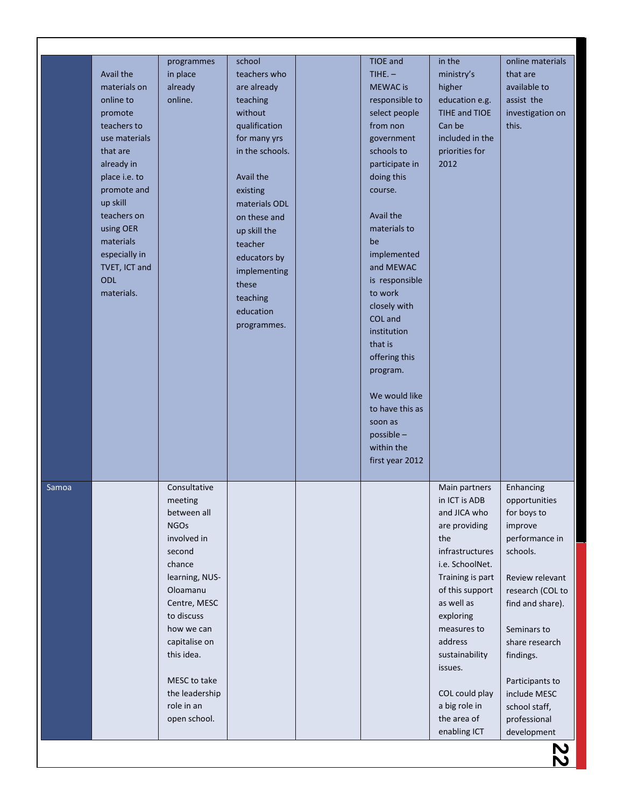|              |                              | programmes     | school                  |  | <b>TIOE</b> and | in the                    | online materials                |
|--------------|------------------------------|----------------|-------------------------|--|-----------------|---------------------------|---------------------------------|
|              | Avail the                    | in place       | teachers who            |  | TIHE. $-$       | ministry's                | that are                        |
|              | materials on                 | already        | are already             |  | <b>MEWAC</b> is | higher                    | available to                    |
|              | online to                    | online.        | teaching                |  | responsible to  | education e.g.            | assist the                      |
|              | promote                      |                | without                 |  | select people   | TIHE and TIOE             | investigation on                |
|              | teachers to                  |                | qualification           |  | from non        | Can be                    | this.                           |
|              | use materials                |                | for many yrs            |  | government      | included in the           |                                 |
|              | that are                     |                | in the schools.         |  | schools to      | priorities for            |                                 |
|              | already in                   |                |                         |  | participate in  | 2012                      |                                 |
|              | place i.e. to<br>promote and |                | Avail the               |  | doing this      |                           |                                 |
|              | up skill                     |                | existing                |  | course.         |                           |                                 |
|              | teachers on                  |                | materials ODL           |  | Avail the       |                           |                                 |
|              | using OER                    |                | on these and            |  | materials to    |                           |                                 |
|              | materials                    |                | up skill the<br>teacher |  | be              |                           |                                 |
|              | especially in                |                |                         |  | implemented     |                           |                                 |
|              | TVET, ICT and                |                | educators by            |  | and MEWAC       |                           |                                 |
|              | ODL                          |                | implementing            |  | is responsible  |                           |                                 |
|              | materials.                   |                | these                   |  | to work         |                           |                                 |
|              |                              |                | teaching                |  | closely with    |                           |                                 |
|              |                              |                | education               |  | COL and         |                           |                                 |
|              |                              |                | programmes.             |  | institution     |                           |                                 |
|              |                              |                |                         |  | that is         |                           |                                 |
|              |                              |                |                         |  | offering this   |                           |                                 |
|              |                              |                |                         |  | program.        |                           |                                 |
|              |                              |                |                         |  | We would like   |                           |                                 |
|              |                              |                |                         |  | to have this as |                           |                                 |
|              |                              |                |                         |  | soon as         |                           |                                 |
|              |                              |                |                         |  | possible -      |                           |                                 |
|              |                              |                |                         |  | within the      |                           |                                 |
|              |                              |                |                         |  | first year 2012 |                           |                                 |
|              |                              |                |                         |  |                 |                           |                                 |
| <b>Samoa</b> |                              | Consultative   |                         |  |                 | Main partners             | Enhancing                       |
|              |                              | meeting        |                         |  |                 | in ICT is ADB             | opportunities                   |
|              |                              | between all    |                         |  |                 | and JICA who              | for boys to                     |
|              |                              | <b>NGOs</b>    |                         |  |                 | are providing             | improve                         |
|              |                              | involved in    |                         |  |                 | the                       | performance in                  |
|              |                              | second         |                         |  |                 | infrastructures           | schools.                        |
|              |                              | chance         |                         |  |                 | i.e. SchoolNet.           |                                 |
|              |                              | learning, NUS- |                         |  |                 | Training is part          | Review relevant                 |
|              |                              | Oloamanu       |                         |  |                 | of this support           | research (COL to                |
|              |                              | Centre, MESC   |                         |  |                 | as well as                | find and share).                |
|              |                              | to discuss     |                         |  |                 | exploring                 |                                 |
|              |                              | how we can     |                         |  |                 | measures to               | Seminars to                     |
|              |                              | capitalise on  |                         |  |                 | address                   | share research                  |
|              |                              | this idea.     |                         |  |                 | sustainability<br>issues. | findings.                       |
|              |                              | MESC to take   |                         |  |                 |                           |                                 |
|              |                              | the leadership |                         |  |                 | COL could play            | Participants to<br>include MESC |
|              |                              | role in an     |                         |  |                 | a big role in             | school staff,                   |
|              |                              | open school.   |                         |  |                 | the area of               | professional                    |
|              |                              |                |                         |  |                 | enabling ICT              | development                     |
|              |                              |                |                         |  |                 |                           |                                 |
|              |                              |                |                         |  |                 |                           |                                 |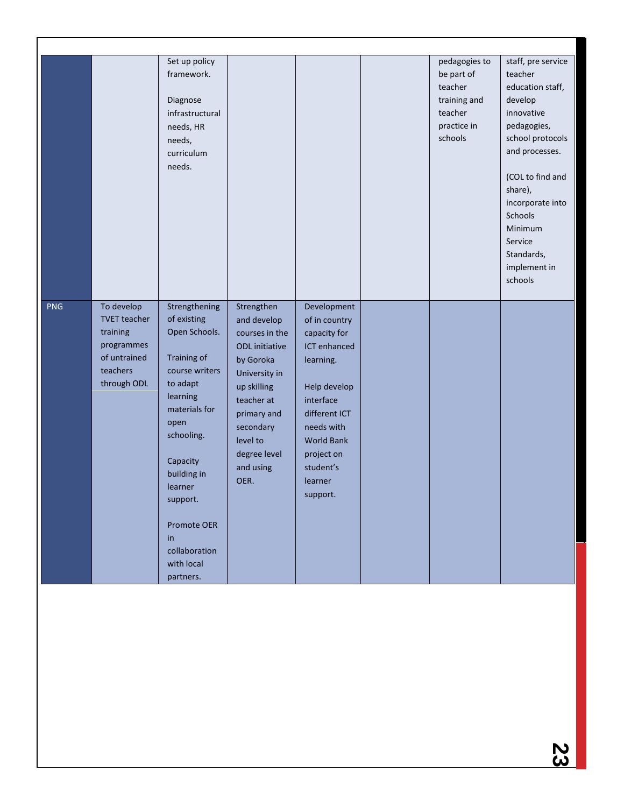|            |                     | Set up policy      |                       |                   | pedagogies to | staff, pre service    |
|------------|---------------------|--------------------|-----------------------|-------------------|---------------|-----------------------|
|            |                     | framework.         |                       |                   | be part of    | teacher               |
|            |                     |                    |                       |                   | teacher       | education staff,      |
|            |                     | Diagnose           |                       |                   | training and  | develop               |
|            |                     | infrastructural    |                       |                   | teacher       | innovative            |
|            |                     | needs, HR          |                       |                   | practice in   | pedagogies,           |
|            |                     | needs,             |                       |                   | schools       | school protocols      |
|            |                     | curriculum         |                       |                   |               | and processes.        |
|            |                     | needs.             |                       |                   |               |                       |
|            |                     |                    |                       |                   |               | (COL to find and      |
|            |                     |                    |                       |                   |               | share),               |
|            |                     |                    |                       |                   |               | incorporate into      |
|            |                     |                    |                       |                   |               | Schools               |
|            |                     |                    |                       |                   |               | Minimum               |
|            |                     |                    |                       |                   |               | Service<br>Standards, |
|            |                     |                    |                       |                   |               | implement in          |
|            |                     |                    |                       |                   |               | schools               |
|            |                     |                    |                       |                   |               |                       |
| <b>PNG</b> | To develop          | Strengthening      | Strengthen            | Development       |               |                       |
|            | <b>TVET</b> teacher | of existing        | and develop           | of in country     |               |                       |
|            | training            | Open Schools.      | courses in the        | capacity for      |               |                       |
|            | programmes          |                    | <b>ODL</b> initiative | ICT enhanced      |               |                       |
|            | of untrained        | Training of        | by Goroka             | learning.         |               |                       |
|            | teachers            | course writers     | University in         |                   |               |                       |
|            | through ODL         | to adapt           | up skilling           | Help develop      |               |                       |
|            |                     | learning           | teacher at            | interface         |               |                       |
|            |                     | materials for      | primary and           | different ICT     |               |                       |
|            |                     | open               | secondary             | needs with        |               |                       |
|            |                     | schooling.         | level to              | <b>World Bank</b> |               |                       |
|            |                     |                    | degree level          | project on        |               |                       |
|            |                     | Capacity           | and using             | student's         |               |                       |
|            |                     | building in        | OER.                  | learner           |               |                       |
|            |                     | learner            |                       | support.          |               |                       |
|            |                     | support.           |                       |                   |               |                       |
|            |                     |                    |                       |                   |               |                       |
|            |                     | <b>Promote OER</b> |                       |                   |               |                       |
|            |                     | in                 |                       |                   |               |                       |
|            |                     | collaboration      |                       |                   |               |                       |
|            |                     | with local         |                       |                   |               |                       |
|            |                     | partners.          |                       |                   |               |                       |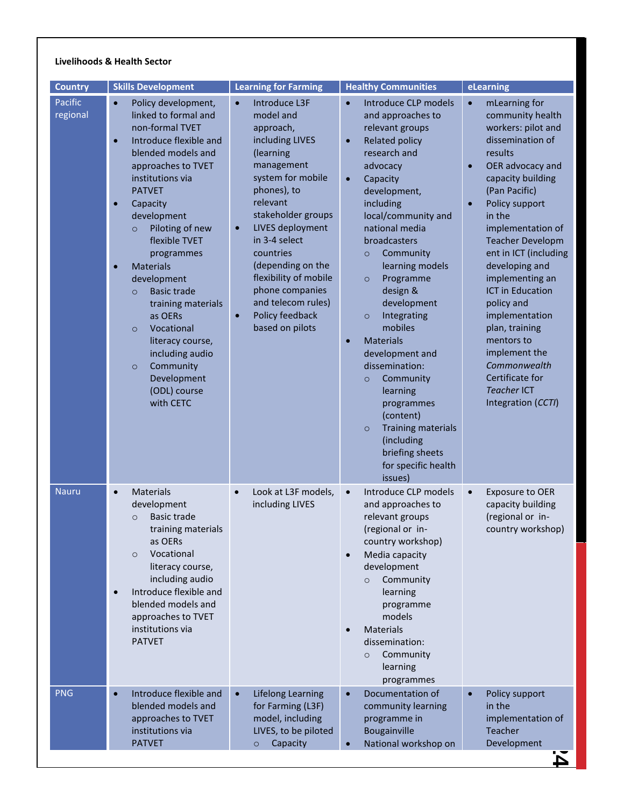#### **Livelihoods & Health Sector**

| <b>Country</b>      | <b>Skills Development</b>                                                                                                                                                                                                                                                                                                                                                                                                                                                                                                                                      | <b>Learning for Farming</b>                                                                                                                                                                                                                                                                                                                                                       | <b>Healthy Communities</b>                                                                                                                                                                                                                                                                                                                                                                                                                                                                                                                                                                                                                    | eLearning                                                                                                                                                                                                                                                                                                                                                                                                                                                                                                                    |
|---------------------|----------------------------------------------------------------------------------------------------------------------------------------------------------------------------------------------------------------------------------------------------------------------------------------------------------------------------------------------------------------------------------------------------------------------------------------------------------------------------------------------------------------------------------------------------------------|-----------------------------------------------------------------------------------------------------------------------------------------------------------------------------------------------------------------------------------------------------------------------------------------------------------------------------------------------------------------------------------|-----------------------------------------------------------------------------------------------------------------------------------------------------------------------------------------------------------------------------------------------------------------------------------------------------------------------------------------------------------------------------------------------------------------------------------------------------------------------------------------------------------------------------------------------------------------------------------------------------------------------------------------------|------------------------------------------------------------------------------------------------------------------------------------------------------------------------------------------------------------------------------------------------------------------------------------------------------------------------------------------------------------------------------------------------------------------------------------------------------------------------------------------------------------------------------|
| Pacific<br>regional | Policy development,<br>$\bullet$<br>linked to formal and<br>non-formal TVET<br>Introduce flexible and<br>$\bullet$<br>blended models and<br>approaches to TVET<br>institutions via<br><b>PATVET</b><br>Capacity<br>$\bullet$<br>development<br>Piloting of new<br>$\circ$<br>flexible TVET<br>programmes<br><b>Materials</b><br>$\bullet$<br>development<br><b>Basic trade</b><br>$\circ$<br>training materials<br>as OERs<br>Vocational<br>$\circ$<br>literacy course,<br>including audio<br>Community<br>$\circ$<br>Development<br>(ODL) course<br>with CETC | Introduce L3F<br>$\bullet$<br>model and<br>approach,<br>including LIVES<br>(learning<br>management<br>system for mobile<br>phones), to<br>relevant<br>stakeholder groups<br>LIVES deployment<br>$\bullet$<br>in 3-4 select<br>countries<br>(depending on the<br>flexibility of mobile<br>phone companies<br>and telecom rules)<br>Policy feedback<br>$\bullet$<br>based on pilots | Introduce CLP models<br>$\bullet$<br>and approaches to<br>relevant groups<br><b>Related policy</b><br>$\bullet$<br>research and<br>advocacy<br>$\bullet$<br>Capacity<br>development,<br>including<br>local/community and<br>national media<br>broadcasters<br>Community<br>$\circ$<br>learning models<br>Programme<br>$\circ$<br>design &<br>development<br>Integrating<br>$\circ$<br>mobiles<br><b>Materials</b><br>$\bullet$<br>development and<br>dissemination:<br>Community<br>$\circ$<br>learning<br>programmes<br>(content)<br><b>Training materials</b><br>$\circ$<br>(including<br>briefing sheets<br>for specific health<br>issues) | mLearning for<br>$\bullet$<br>community health<br>workers: pilot and<br>dissemination of<br>results<br>OER advocacy and<br>$\bullet$<br>capacity building<br>(Pan Pacific)<br>Policy support<br>$\bullet$<br>in the<br>implementation of<br><b>Teacher Developm</b><br>ent in ICT (including<br>developing and<br>implementing an<br><b>ICT in Education</b><br>policy and<br>implementation<br>plan, training<br>mentors to<br>implement the<br>Commonwealth<br>Certificate for<br><b>Teacher ICT</b><br>Integration (CCTI) |
| <b>Nauru</b>        | Materials<br>$\bullet$<br>development<br>Basic trade<br>$\circ$<br>training materials<br>as OERs<br>Vocational<br>$\circ$<br>literacy course,<br>including audio<br>Introduce flexible and<br>$\bullet$<br>blended models and<br>approaches to TVET<br>institutions via<br><b>PATVET</b>                                                                                                                                                                                                                                                                       | Look at L3F models,<br>including LIVES                                                                                                                                                                                                                                                                                                                                            | Introduce CLP models<br>$\bullet$<br>and approaches to<br>relevant groups<br>(regional or in-<br>country workshop)<br>Media capacity<br>$\bullet$<br>development<br>Community<br>$\circ$<br>learning<br>programme<br>models<br><b>Materials</b><br>$\bullet$<br>dissemination:<br>Community<br>$\circ$<br>learning<br>programmes                                                                                                                                                                                                                                                                                                              | <b>Exposure to OER</b><br>$\bullet$<br>capacity building<br>(regional or in-<br>country workshop)                                                                                                                                                                                                                                                                                                                                                                                                                            |
| <b>PNG</b>          | Introduce flexible and<br>$\bullet$<br>blended models and<br>approaches to TVET<br>institutions via<br><b>PATVET</b>                                                                                                                                                                                                                                                                                                                                                                                                                                           | <b>Lifelong Learning</b><br>$\bullet$<br>for Farming (L3F)<br>model, including<br>LIVES, to be piloted<br>Capacity<br>$\circ$                                                                                                                                                                                                                                                     | Documentation of<br>$\bullet$<br>community learning<br>programme in<br>Bougainville<br>National workshop on<br>$\bullet$                                                                                                                                                                                                                                                                                                                                                                                                                                                                                                                      | Policy support<br>$\bullet$<br>in the<br>implementation of<br>Teacher<br>Development                                                                                                                                                                                                                                                                                                                                                                                                                                         |
|                     |                                                                                                                                                                                                                                                                                                                                                                                                                                                                                                                                                                |                                                                                                                                                                                                                                                                                                                                                                                   |                                                                                                                                                                                                                                                                                                                                                                                                                                                                                                                                                                                                                                               | $\blacktriangle$                                                                                                                                                                                                                                                                                                                                                                                                                                                                                                             |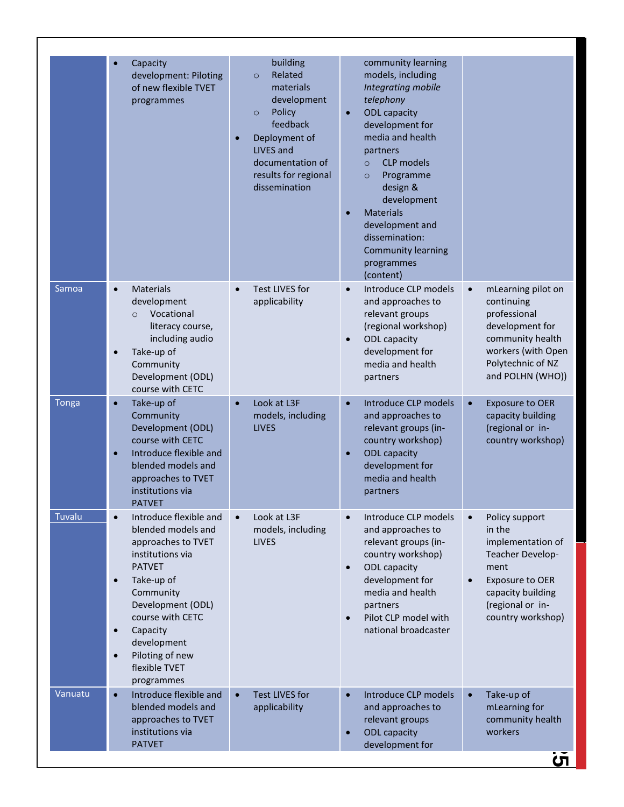|              | Capacity<br>$\bullet$<br>development: Piloting<br>of new flexible TVET<br>programmes                                                                                                                                                                                                                         | building<br>Related<br>$\circ$<br>materials<br>development<br>Policy<br>$\circ$<br>feedback<br>Deployment of<br>$\bullet$<br>LIVES and<br>documentation of<br>results for regional<br>dissemination | community learning<br>models, including<br>Integrating mobile<br>telephony<br><b>ODL</b> capacity<br>$\bullet$<br>development for<br>media and health<br>partners<br><b>CLP</b> models<br>$\circ$<br>Programme<br>$\circ$<br>design &<br>development<br><b>Materials</b><br>$\bullet$<br>development and<br>dissemination:<br><b>Community learning</b><br>programmes<br>(content) |                                                                                                                                                                                      |
|--------------|--------------------------------------------------------------------------------------------------------------------------------------------------------------------------------------------------------------------------------------------------------------------------------------------------------------|-----------------------------------------------------------------------------------------------------------------------------------------------------------------------------------------------------|------------------------------------------------------------------------------------------------------------------------------------------------------------------------------------------------------------------------------------------------------------------------------------------------------------------------------------------------------------------------------------|--------------------------------------------------------------------------------------------------------------------------------------------------------------------------------------|
| Samoa        | <b>Materials</b><br>$\bullet$<br>development<br>Vocational<br>$\Omega$<br>literacy course,<br>including audio<br>Take-up of<br>$\bullet$<br>Community<br>Development (ODL)<br>course with CETC                                                                                                               | <b>Test LIVES for</b><br>$\bullet$<br>applicability                                                                                                                                                 | Introduce CLP models<br>$\bullet$<br>and approaches to<br>relevant groups<br>(regional workshop)<br><b>ODL</b> capacity<br>$\bullet$<br>development for<br>media and health<br>partners                                                                                                                                                                                            | mLearning pilot on<br>$\bullet$<br>continuing<br>professional<br>development for<br>community health<br>workers (with Open<br>Polytechnic of NZ<br>and POLHN (WHO))                  |
| <b>Tonga</b> | Take-up of<br>$\bullet$<br>Community<br>Development (ODL)<br>course with CETC<br>Introduce flexible and<br>$\bullet$<br>blended models and<br>approaches to TVET<br>institutions via<br><b>PATVET</b>                                                                                                        | Look at L3F<br>$\bullet$<br>models, including<br><b>LIVES</b>                                                                                                                                       | Introduce CLP models<br>$\bullet$<br>and approaches to<br>relevant groups (in-<br>country workshop)<br><b>ODL</b> capacity<br>$\bullet$<br>development for<br>media and health<br>partners                                                                                                                                                                                         | $\bullet$<br><b>Exposure to OER</b><br>capacity building<br>(regional or in-<br>country workshop)                                                                                    |
| Tuvalu       | Introduce flexible and<br>$\bullet$<br>blended models and<br>approaches to TVET<br>institutions via<br><b>PATVET</b><br>Take-up of<br>$\bullet$<br>Community<br>Development (ODL)<br>course with CETC<br>Capacity<br>$\bullet$<br>development<br>Piloting of new<br>$\bullet$<br>flexible TVET<br>programmes | Look at L3F<br>$\bullet$<br>models, including<br><b>LIVES</b>                                                                                                                                       | Introduce CLP models<br>$\bullet$<br>and approaches to<br>relevant groups (in-<br>country workshop)<br><b>ODL</b> capacity<br>$\bullet$<br>development for<br>media and health<br>partners<br>Pilot CLP model with<br>$\bullet$<br>national broadcaster                                                                                                                            | Policy support<br>$\bullet$<br>in the<br>implementation of<br>Teacher Develop-<br>ment<br>Exposure to OER<br>$\bullet$<br>capacity building<br>(regional or in-<br>country workshop) |
| Vanuatu      | $\bullet$<br>Introduce flexible and<br>blended models and<br>approaches to TVET<br>institutions via<br><b>PATVET</b>                                                                                                                                                                                         | <b>Test LIVES for</b><br>$\bullet$<br>applicability                                                                                                                                                 | Introduce CLP models<br>$\bullet$<br>and approaches to<br>relevant groups<br><b>ODL</b> capacity<br>$\bullet$<br>development for                                                                                                                                                                                                                                                   | Take-up of<br>$\bullet$<br>mLearning for<br>community health<br>workers                                                                                                              |
|              |                                                                                                                                                                                                                                                                                                              |                                                                                                                                                                                                     |                                                                                                                                                                                                                                                                                                                                                                                    | Ċ٦                                                                                                                                                                                   |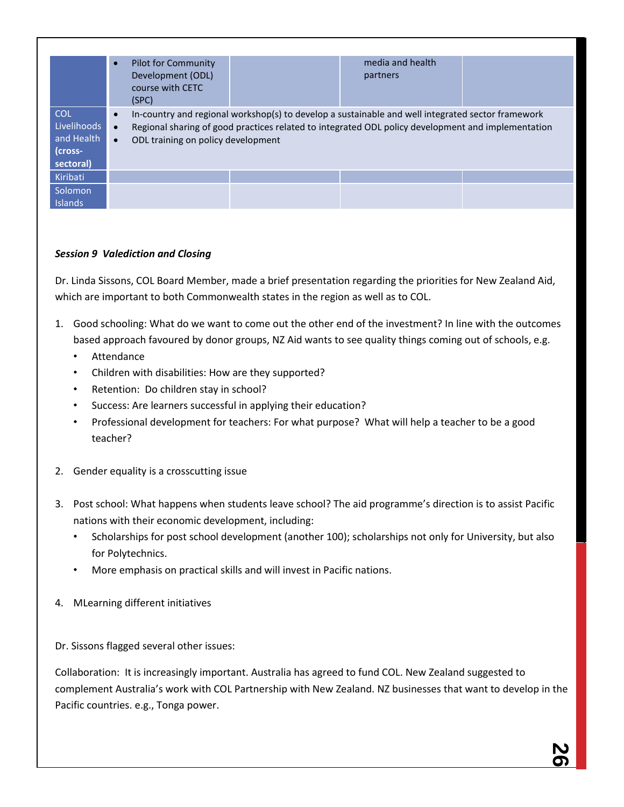|                                                                        | <b>Pilot for Community</b><br>$\bullet$<br>Development (ODL)<br>course with CETC<br>(SPC) | media and health<br>partners                                                                                                                                                                            |  |
|------------------------------------------------------------------------|-------------------------------------------------------------------------------------------|---------------------------------------------------------------------------------------------------------------------------------------------------------------------------------------------------------|--|
| <b>COL</b><br><b>Livelihoods</b><br>and Health<br>(cross-<br>sectoral) | $\bullet$<br>ODL training on policy development<br>$\bullet$                              | In-country and regional workshop(s) to develop a sustainable and well integrated sector framework<br>Regional sharing of good practices related to integrated ODL policy development and implementation |  |
| Kiribati                                                               |                                                                                           |                                                                                                                                                                                                         |  |
| Solomon<br><b>Islands</b>                                              |                                                                                           |                                                                                                                                                                                                         |  |

# *Session 9 Valediction and Closing*

Dr. Linda Sissons, COL Board Member, made a brief presentation regarding the priorities for New Zealand Aid, which are important to both Commonwealth states in the region as well as to COL.

- 1. Good schooling: What do we want to come out the other end of the investment? In line with the outcomes based approach favoured by donor groups, NZ Aid wants to see quality things coming out of schools, e.g.
	- Attendance
	- Children with disabilities: How are they supported?
	- Retention: Do children stay in school?
	- Success: Are learners successful in applying their education?
	- Professional development for teachers: For what purpose? What will help a teacher to be a good teacher?
- 2. Gender equality is a crosscutting issue
- 3. Post school: What happens when students leave school? The aid programme's direction is to assist Pacific nations with their economic development, including:
	- Scholarships for post school development (another 100); scholarships not only for University, but also for Polytechnics.
	- More emphasis on practical skills and will invest in Pacific nations.
- 4. MLearning different initiatives

Dr. Sissons flagged several other issues:

Collaboration: It is increasingly important. Australia has agreed to fund COL. New Zealand suggested to complement Australia's work with COL Partnership with New Zealand. NZ businesses that want to develop in the Pacific countries. e.g., Tonga power.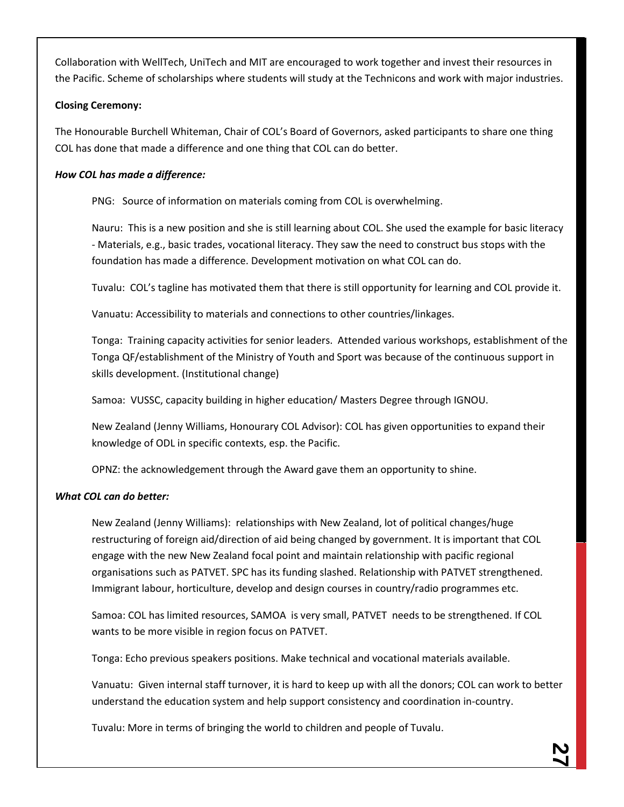Collaboration with WellTech, UniTech and MIT are encouraged to work together and invest their resources in the Pacific. Scheme of scholarships where students will study at the Technicons and work with major industries.

# **Closing Ceremony:**

The Honourable Burchell Whiteman, Chair of COL's Board of Governors, asked participants to share one thing COL has done that made a difference and one thing that COL can do better.

# *How COL has made a difference:*

PNG: Source of information on materials coming from COL is overwhelming.

Nauru: This is a new position and she is still learning about COL. She used the example for basic literacy - Materials, e.g., basic trades, vocational literacy. They saw the need to construct bus stops with the foundation has made a difference. Development motivation on what COL can do.

Tuvalu: COL's tagline has motivated them that there is still opportunity for learning and COL provide it.

Vanuatu: Accessibility to materials and connections to other countries/linkages.

Tonga: Training capacity activities for senior leaders. Attended various workshops, establishment of the Tonga QF/establishment of the Ministry of Youth and Sport was because of the continuous support in skills development. (Institutional change)

Samoa: VUSSC, capacity building in higher education/ Masters Degree through IGNOU.

New Zealand (Jenny Williams, Honourary COL Advisor): COL has given opportunities to expand their knowledge of ODL in specific contexts, esp. the Pacific.

OPNZ: the acknowledgement through the Award gave them an opportunity to shine.

# *What COL can do better:*

New Zealand (Jenny Williams): relationships with New Zealand, lot of political changes/huge restructuring of foreign aid/direction of aid being changed by government. It is important that COL engage with the new New Zealand focal point and maintain relationship with pacific regional organisations such as PATVET. SPC has its funding slashed. Relationship with PATVET strengthened. Immigrant labour, horticulture, develop and design courses in country/radio programmes etc.

Samoa: COL has limited resources, SAMOA is very small, PATVET needs to be strengthened. If COL wants to be more visible in region focus on PATVET.

Tonga: Echo previous speakers positions. Make technical and vocational materials available.

Vanuatu: Given internal staff turnover, it is hard to keep up with all the donors; COL can work to better understand the education system and help support consistency and coordination in-country.

Tuvalu: More in terms of bringing the world to children and people of Tuvalu.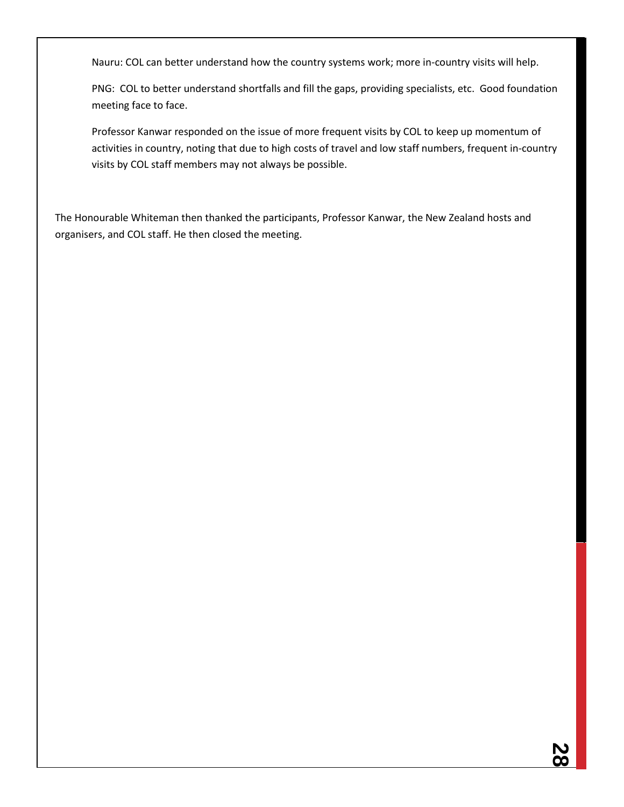Nauru: COL can better understand how the country systems work; more in-country visits will help.

PNG: COL to better understand shortfalls and fill the gaps, providing specialists, etc. Good foundation meeting face to face.

Professor Kanwar responded on the issue of more frequent visits by COL to keep up momentum of activities in country, noting that due to high costs of travel and low staff numbers, frequent in-country visits by COL staff members may not always be possible.

The Honourable Whiteman then thanked the participants, Professor Kanwar, the New Zealand hosts and organisers, and COL staff. He then closed the meeting.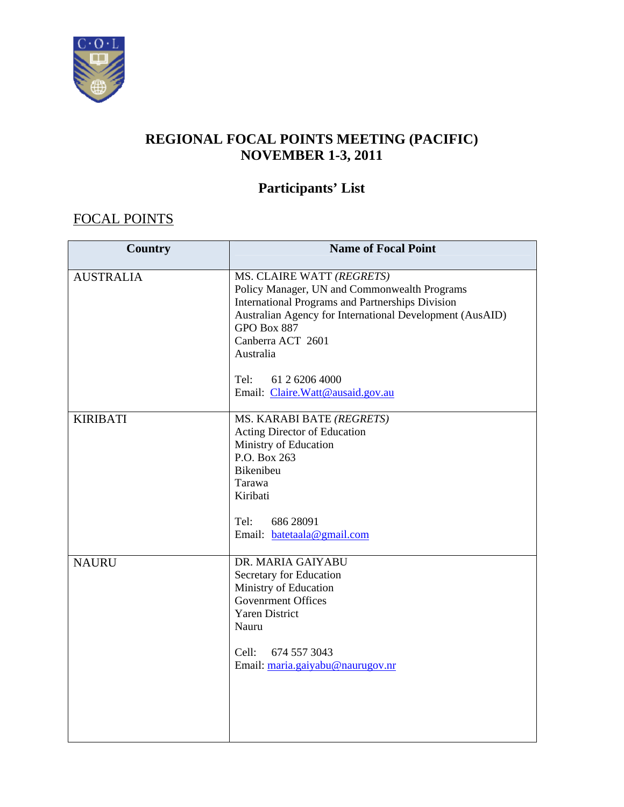

# **REGIONAL FOCAL POINTS MEETING (PACIFIC) NOVEMBER 1-3, 2011**

# **Participants' List**

# FOCAL POINTS

| <b>Country</b>   | <b>Name of Focal Point</b>                                                                                                                                                                                                                        |
|------------------|---------------------------------------------------------------------------------------------------------------------------------------------------------------------------------------------------------------------------------------------------|
| <b>AUSTRALIA</b> | MS. CLAIRE WATT (REGRETS)<br>Policy Manager, UN and Commonwealth Programs<br><b>International Programs and Partnerships Division</b><br>Australian Agency for International Development (AusAID)<br>GPO Box 887<br>Canberra ACT 2601<br>Australia |
|                  | Tel:<br>61 2 6206 4000<br>Email: Claire.Watt@ausaid.gov.au                                                                                                                                                                                        |
| <b>KIRIBATI</b>  | MS. KARABI BATE (REGRETS)<br>Acting Director of Education<br>Ministry of Education<br>P.O. Box 263<br>Bikenibeu<br>Tarawa<br>Kiribati<br>686 28091<br>Tel:<br>Email: batetaala@gmail.com                                                          |
| <b>NAURU</b>     | DR. MARIA GAIYABU<br>Secretary for Education<br>Ministry of Education<br><b>Govenrment Offices</b><br><b>Yaren District</b><br>Nauru<br>Cell:<br>674 557 3043<br>Email: maria.gaiyabu@naurugov.nr                                                 |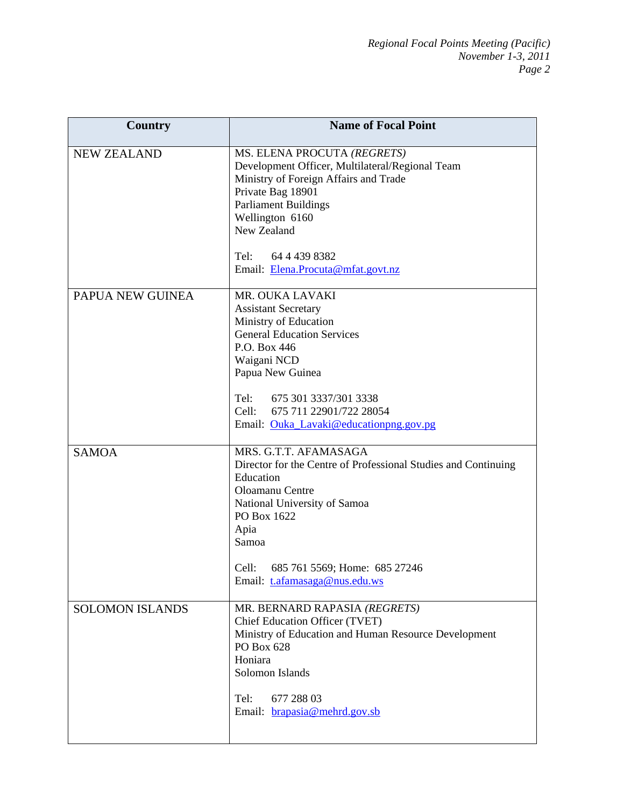| <b>Country</b>         | <b>Name of Focal Point</b>                                                                                              |
|------------------------|-------------------------------------------------------------------------------------------------------------------------|
| <b>NEW ZEALAND</b>     | MS. ELENA PROCUTA (REGRETS)<br>Development Officer, Multilateral/Regional Team<br>Ministry of Foreign Affairs and Trade |
|                        | Private Bag 18901<br><b>Parliament Buildings</b>                                                                        |
|                        | Wellington 6160<br>New Zealand                                                                                          |
|                        | Tel: 64 4 439 8382<br>Email: Elena.Procuta@mfat.govt.nz                                                                 |
| PAPUA NEW GUINEA       | MR. OUKA LAVAKI                                                                                                         |
|                        | <b>Assistant Secretary</b><br>Ministry of Education                                                                     |
|                        | <b>General Education Services</b>                                                                                       |
|                        | P.O. Box 446                                                                                                            |
|                        | Waigani NCD<br>Papua New Guinea                                                                                         |
|                        |                                                                                                                         |
|                        | Tel:<br>675 301 3337/301 3338                                                                                           |
|                        | 675 711 22901/722 28054<br>Cell:<br>Email: Ouka_Lavaki@educationpng.gov.pg                                              |
|                        |                                                                                                                         |
| <b>SAMOA</b>           | MRS. G.T.T. AFAMASAGA                                                                                                   |
|                        | Director for the Centre of Professional Studies and Continuing<br>Education                                             |
|                        | Oloamanu Centre                                                                                                         |
|                        | National University of Samoa                                                                                            |
|                        | PO Box 1622<br>Apia                                                                                                     |
|                        | Samoa                                                                                                                   |
|                        |                                                                                                                         |
|                        | Cell:<br>685 761 5569; Home: 685 27246<br>Email: t.afamasaga@nus.edu.ws                                                 |
|                        |                                                                                                                         |
| <b>SOLOMON ISLANDS</b> | MR. BERNARD RAPASIA (REGRETS)                                                                                           |
|                        | Chief Education Officer (TVET)<br>Ministry of Education and Human Resource Development                                  |
|                        | PO Box 628                                                                                                              |
|                        | Honiara                                                                                                                 |
|                        | Solomon Islands                                                                                                         |
|                        | 677 288 03<br>Tel:                                                                                                      |
|                        | Email: brapasia@mehrd.gov.sb                                                                                            |
|                        |                                                                                                                         |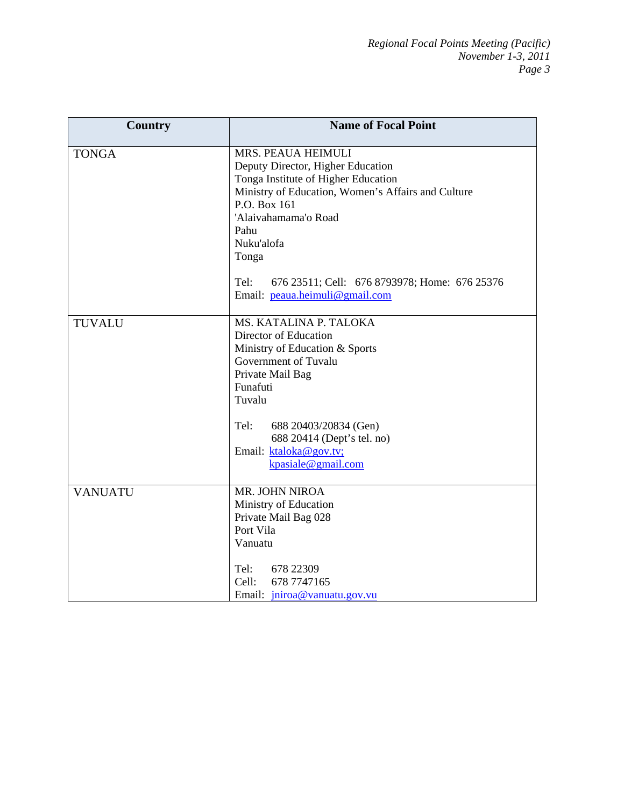| <b>Country</b> | <b>Name of Focal Point</b>                                                                                                                                                                                                  |
|----------------|-----------------------------------------------------------------------------------------------------------------------------------------------------------------------------------------------------------------------------|
| <b>TONGA</b>   | MRS. PEAUA HEIMULI<br>Deputy Director, Higher Education<br>Tonga Institute of Higher Education<br>Ministry of Education, Women's Affairs and Culture<br>P.O. Box 161<br>'Alaivahamama'o Road<br>Pahu<br>Nuku'alofa<br>Tonga |
|                | Tel:<br>676 23511; Cell: 676 8793978; Home: 676 25376<br>Email: peaua.heimuli@gmail.com                                                                                                                                     |
| <b>TUVALU</b>  | MS. KATALINA P. TALOKA<br>Director of Education<br>Ministry of Education & Sports<br>Government of Tuvalu<br>Private Mail Bag<br>Funafuti<br>Tuvalu                                                                         |
|                | Tel:<br>688 20403/20834 (Gen)<br>688 20414 (Dept's tel. no)<br>Email: ktaloka@gov.tv;<br>kpasiale@gmail.com                                                                                                                 |
| <b>VANUATU</b> | MR. JOHN NIROA<br>Ministry of Education<br>Private Mail Bag 028<br>Port Vila<br>Vanuatu                                                                                                                                     |
|                | Tel:<br>678 22309<br>Cell:<br>678 7747165<br>Email: <i>jniroa@vanuatu.gov.vu</i>                                                                                                                                            |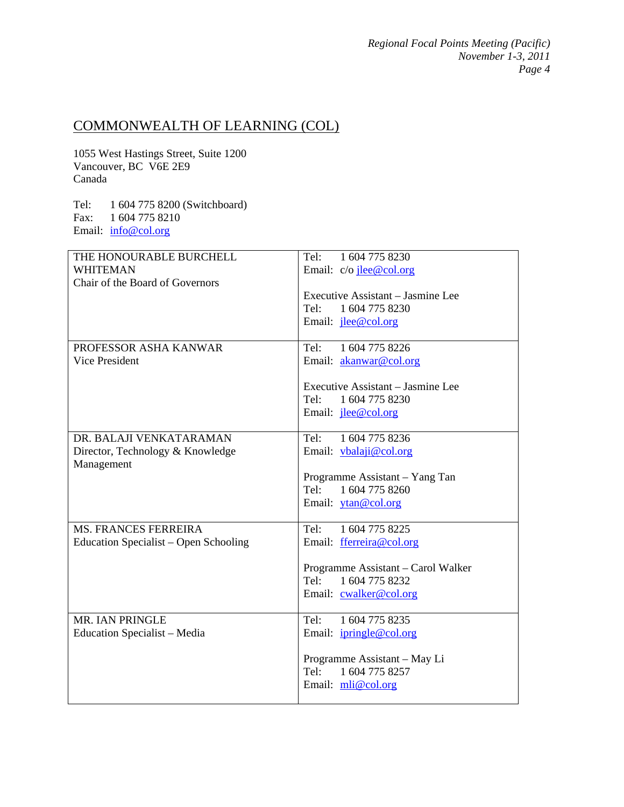*Regional Focal Points Meeting (Pacific) November 1-3, 2011 Page 4* 

# COMMONWEALTH OF LEARNING (COL)

1055 West Hastings Street, Suite 1200 Vancouver, BC V6E 2E9 Canada

Tel: 1 604 775 8200 (Switchboard) Fax: 1 604 775 8210 Email: info@col.org

| THE HONOURABLE BURCHELL               | 1 604 775 8230<br>Tel:             |
|---------------------------------------|------------------------------------|
| <b>WHITEMAN</b>                       | Email: $c/o$ jee@col.org           |
| Chair of the Board of Governors       |                                    |
|                                       | Executive Assistant – Jasmine Lee  |
|                                       | Tel: 1 604 775 8230                |
|                                       | Email: <i>ilee@col.org</i>         |
| PROFESSOR ASHA KANWAR                 | 1 604 775 8226<br>Tel:             |
| <b>Vice President</b>                 | Email: akanwar@col.org             |
|                                       |                                    |
|                                       | Executive Assistant – Jasmine Lee  |
|                                       | 1 604 775 8230<br>Tel              |
|                                       | Email: <i>ilee@col.org</i>         |
| DR. BALAJI VENKATARAMAN               | 1 604 775 8236<br>Tel:             |
| Director, Technology & Knowledge      | Email: <i>ybalaji@col.org</i>      |
| Management                            |                                    |
|                                       | Programme Assistant - Yang Tan     |
|                                       | Tel: 1 604 775 8260                |
|                                       | Email: ytan@col.org                |
| <b>MS. FRANCES FERREIRA</b>           | 1 604 775 8225<br>Tel:             |
| Education Specialist - Open Schooling | Email: fferreira@col.org           |
|                                       | Programme Assistant - Carol Walker |
|                                       | Tel: 1 604 775 8232                |
|                                       | Email: cwalker@col.org             |
|                                       |                                    |
| MR. IAN PRINGLE                       | 1 604 775 8235<br>Tel:             |
| <b>Education Specialist – Media</b>   | Email: <i>ipringle@col.org</i>     |
|                                       | Programme Assistant - May Li       |
|                                       | 1 604 775 8257<br>Tel:             |
|                                       | Email: mli@col.org                 |
|                                       |                                    |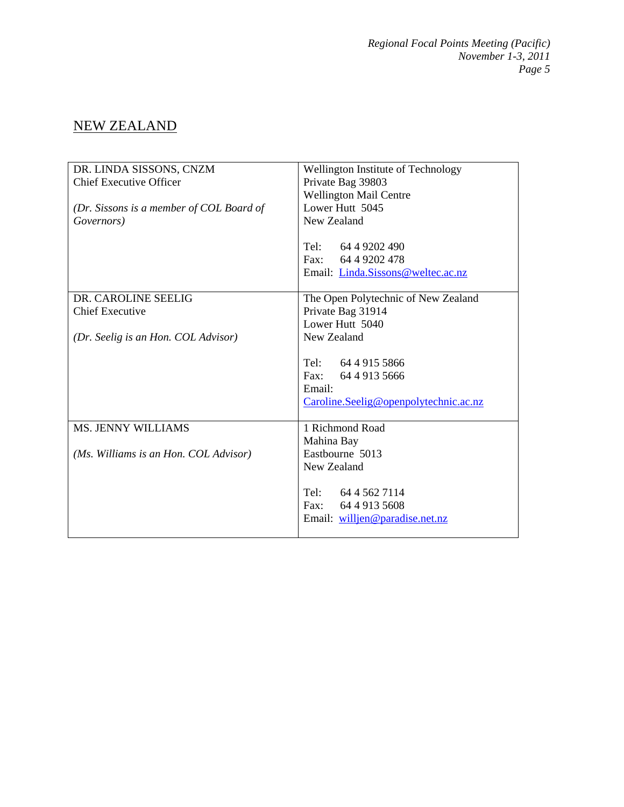# NEW ZEALAND

| DR. LINDA SISSONS, CNZM                  | Wellington Institute of Technology    |
|------------------------------------------|---------------------------------------|
| <b>Chief Executive Officer</b>           | Private Bag 39803                     |
|                                          | <b>Wellington Mail Centre</b>         |
| (Dr. Sissons is a member of COL Board of | Lower Hutt 5045                       |
| Governors)                               | New Zealand                           |
|                                          |                                       |
|                                          | Tel: $6449202490$                     |
|                                          | Fax: 64 4 9202 478                    |
|                                          | Email: Linda.Sissons@weltec.ac.nz     |
|                                          |                                       |
| DR. CAROLINE SEELIG                      | The Open Polytechnic of New Zealand   |
| <b>Chief Executive</b>                   | Private Bag 31914                     |
|                                          | Lower Hutt 5040                       |
| (Dr. Seelig is an Hon. COL Advisor)      | New Zealand                           |
|                                          |                                       |
|                                          | Tel: 64 4 915 5866                    |
|                                          | Fax: 64 4 913 5666                    |
|                                          | Email:                                |
|                                          | Caroline.Seelig@openpolytechnic.ac.nz |
|                                          |                                       |
| <b>MS. JENNY WILLIAMS</b>                | 1 Richmond Road                       |
|                                          | Mahina Bay                            |
| (Ms. Williams is an Hon. COL Advisor)    | Eastbourne 5013                       |
|                                          | New Zealand                           |
|                                          |                                       |
|                                          | Tel: 64 4 562 7114                    |
|                                          | Fax: 64 4 913 5608                    |
|                                          | Email: willien@paradise.net.nz        |
|                                          |                                       |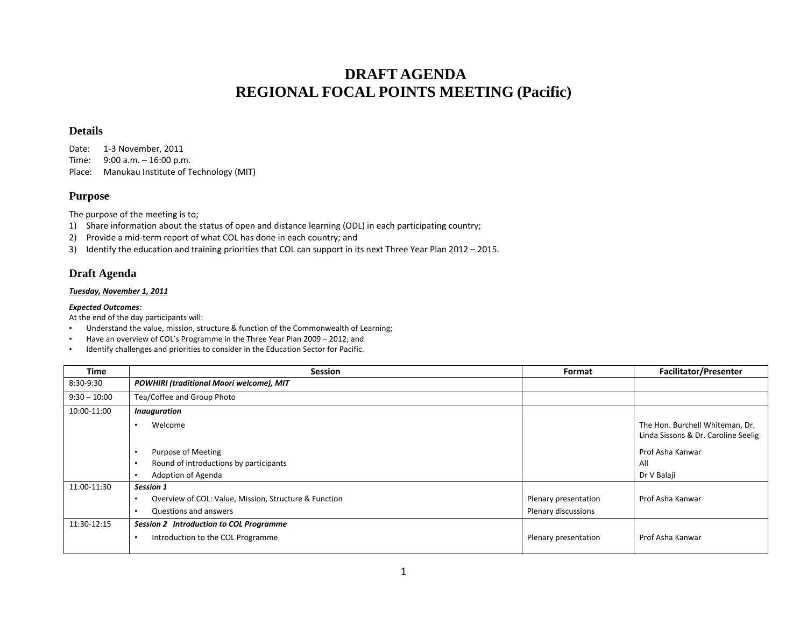# **DRAFT AGENDA REGIONAL FOCAL POINTS MEETING (Pacific)**

#### **Details**

Date: 1‐3 November, 2011 Time: 9:00 a.m. – 16:00 p.m. Place:Manukau Institute of Technology (MIT)

#### **Purpose**

The purpose of the meeting is to;

- 1) Share information about the status of open and distance learning (ODL) in each participating country;
- 2) Provide a mid-term report of what COL has done in each country; and
- 3) Identify the education and training priorities that COL can support in its next Three Year Plan 2012 2015.

# **Draft Agenda**

#### *Tuesday, November 1, 2011*

#### *Expected Outcomes:*

At the end of the day participants will:

- •Understand the value, mission, structure & function of the Commonwealth of Learning;
- •Have an overview of COL's Programme in the Three Year Plan 2009 – 2012; and
- •Identify challenges and priorities to consider in the Education Sector for Pacific.

| <b>Time</b>    | <b>Session</b>                                        | Format               | <b>Facilitator/Presenter</b>                                           |
|----------------|-------------------------------------------------------|----------------------|------------------------------------------------------------------------|
| 8:30-9:30      | <b>POWHIRI (traditional Maori welcome), MIT</b>       |                      |                                                                        |
| $9:30 - 10:00$ | Tea/Coffee and Group Photo                            |                      |                                                                        |
| 10:00-11:00    | <b>Inauguration</b>                                   |                      |                                                                        |
|                | Welcome                                               |                      | The Hon. Burchell Whiteman, Dr.<br>Linda Sissons & Dr. Caroline Seelig |
|                | Purpose of Meeting                                    |                      | Prof Asha Kanwar                                                       |
|                | Round of introductions by participants                |                      | All                                                                    |
|                | Adoption of Agenda                                    |                      | Dr V Balaji                                                            |
| 11:00-11:30    | Session 1                                             |                      |                                                                        |
|                | Overview of COL: Value, Mission, Structure & Function | Plenary presentation | Prof Asha Kanwar                                                       |
|                | Questions and answers<br>$\bullet$                    | Plenary discussions  |                                                                        |
| 11:30-12:15    | Session 2 Introduction to COL Programme               |                      |                                                                        |
|                | Introduction to the COL Programme                     | Plenary presentation | Prof Asha Kanwar                                                       |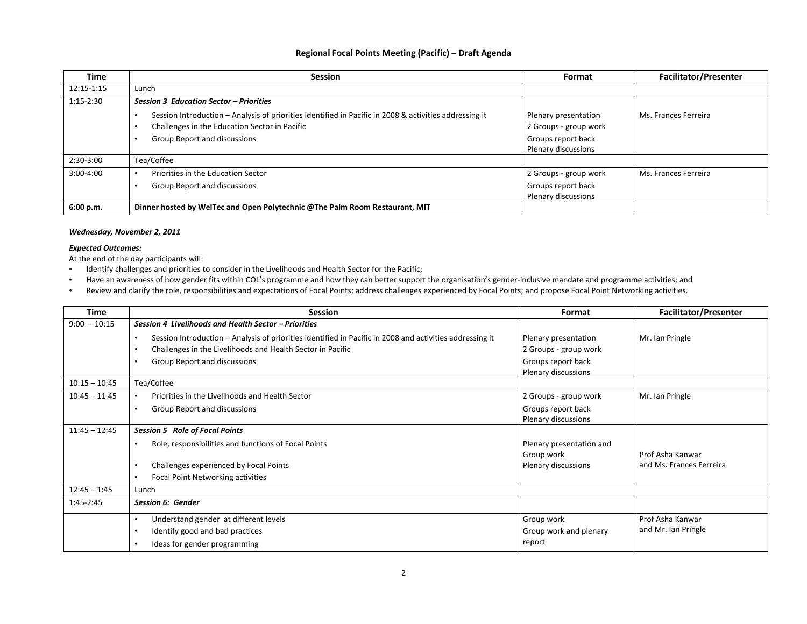#### **Regional Focal Points Meeting (Pacific) – Draft Agenda**

| <b>Time</b> | <b>Session</b>                                                                                         | Format                | <b>Facilitator/Presenter</b> |
|-------------|--------------------------------------------------------------------------------------------------------|-----------------------|------------------------------|
| 12:15-1:15  | Lunch                                                                                                  |                       |                              |
| $1:15-2:30$ | <b>Session 3 Education Sector - Priorities</b>                                                         |                       |                              |
|             | Session Introduction – Analysis of priorities identified in Pacific in 2008 & activities addressing it | Plenary presentation  | Ms. Frances Ferreira         |
|             | Challenges in the Education Sector in Pacific                                                          | 2 Groups - group work |                              |
|             | Group Report and discussions                                                                           | Groups report back    |                              |
|             |                                                                                                        | Plenary discussions   |                              |
| $2:30-3:00$ | Tea/Coffee                                                                                             |                       |                              |
| $3:00-4:00$ | Priorities in the Education Sector                                                                     | 2 Groups - group work | Ms. Frances Ferreira         |
|             | Group Report and discussions                                                                           | Groups report back    |                              |
|             |                                                                                                        | Plenary discussions   |                              |
| 6:00 p.m.   | Dinner hosted by WelTec and Open Polytechnic @The Palm Room Restaurant, MIT                            |                       |                              |

#### *Wednesday, November 2, 2011*

#### *Expected Outcomes:*

At the end of the day participants will:

- •Identify challenges and priorities to consider in the Livelihoods and Health Sector for the Pacific;
- •• Have an awareness of how gender fits within COL's programme and how they can better support the organisation's gender-inclusive mandate and programme activities; and
- •Review and clarify the role, responsibilities and expectations of Focal Points; address challenges experienced by Focal Points; and propose Focal Point Networking activities.

| Time            | <b>Session</b>                                                                                           | Format                   | <b>Facilitator/Presenter</b> |
|-----------------|----------------------------------------------------------------------------------------------------------|--------------------------|------------------------------|
| $9:00 - 10:15$  | Session 4 Livelihoods and Health Sector - Priorities                                                     |                          |                              |
|                 | Session Introduction - Analysis of priorities identified in Pacific in 2008 and activities addressing it | Plenary presentation     | Mr. Ian Pringle              |
|                 | Challenges in the Livelihoods and Health Sector in Pacific                                               | 2 Groups - group work    |                              |
|                 | Group Report and discussions                                                                             | Groups report back       |                              |
|                 |                                                                                                          | Plenary discussions      |                              |
| $10:15 - 10:45$ | Tea/Coffee                                                                                               |                          |                              |
| $10:45 - 11:45$ | Priorities in the Livelihoods and Health Sector                                                          | 2 Groups - group work    | Mr. Ian Pringle              |
|                 | Group Report and discussions<br>٠                                                                        | Groups report back       |                              |
|                 |                                                                                                          | Plenary discussions      |                              |
| $11:45 - 12:45$ | <b>Session 5 Role of Focal Points</b>                                                                    |                          |                              |
|                 | Role, responsibilities and functions of Focal Points                                                     | Plenary presentation and |                              |
|                 |                                                                                                          | Group work               | Prof Asha Kanwar             |
|                 | Challenges experienced by Focal Points                                                                   | Plenary discussions      | and Ms. Frances Ferreira     |
|                 | Focal Point Networking activities                                                                        |                          |                              |
| $12:45 - 1:45$  | Lunch                                                                                                    |                          |                              |
| 1:45-2:45       | Session 6: Gender                                                                                        |                          |                              |
|                 | Understand gender at different levels                                                                    | Group work               | Prof Asha Kanwar             |
|                 | Identify good and bad practices                                                                          | Group work and plenary   | and Mr. Ian Pringle          |
|                 | Ideas for gender programming                                                                             | report                   |                              |